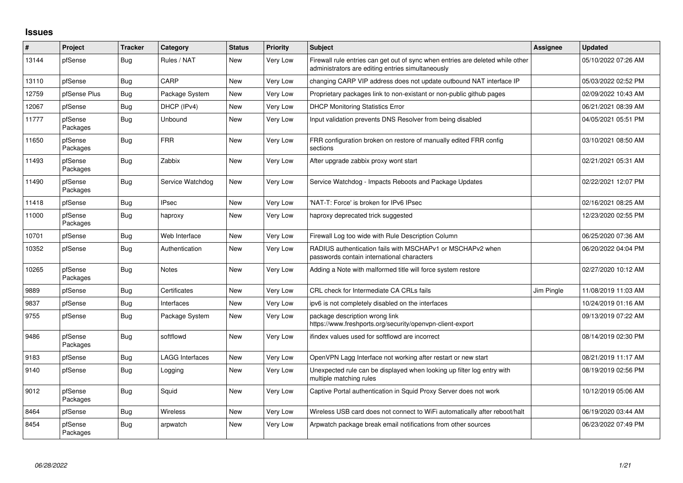## **Issues**

| $\vert$ # | Project             | Tracker    | Category               | <b>Status</b> | <b>Priority</b> | <b>Subject</b>                                                                                                                      | Assignee   | <b>Updated</b>      |
|-----------|---------------------|------------|------------------------|---------------|-----------------|-------------------------------------------------------------------------------------------------------------------------------------|------------|---------------------|
| 13144     | pfSense             | Bug        | Rules / NAT            | New           | Very Low        | Firewall rule entries can get out of sync when entries are deleted while other<br>administrators are editing entries simultaneously |            | 05/10/2022 07:26 AM |
| 13110     | pfSense             | Bug        | CARP                   | <b>New</b>    | Very Low        | changing CARP VIP address does not update outbound NAT interface IP                                                                 |            | 05/03/2022 02:52 PM |
| 12759     | pfSense Plus        | <b>Bug</b> | Package System         | <b>New</b>    | Very Low        | Proprietary packages link to non-existant or non-public github pages                                                                |            | 02/09/2022 10:43 AM |
| 12067     | pfSense             | Bug        | DHCP (IPv4)            | New           | Very Low        | <b>DHCP Monitoring Statistics Error</b>                                                                                             |            | 06/21/2021 08:39 AM |
| 11777     | pfSense<br>Packages | <b>Bug</b> | Unbound                | New           | Very Low        | Input validation prevents DNS Resolver from being disabled                                                                          |            | 04/05/2021 05:51 PM |
| 11650     | pfSense<br>Packages | <b>Bug</b> | <b>FRR</b>             | New           | Very Low        | FRR configuration broken on restore of manually edited FRR config<br>sections                                                       |            | 03/10/2021 08:50 AM |
| 11493     | pfSense<br>Packages | Bug        | Zabbix                 | <b>New</b>    | Very Low        | After upgrade zabbix proxy wont start                                                                                               |            | 02/21/2021 05:31 AM |
| 11490     | pfSense<br>Packages | <b>Bug</b> | Service Watchdog       | <b>New</b>    | Very Low        | Service Watchdog - Impacts Reboots and Package Updates                                                                              |            | 02/22/2021 12:07 PM |
| 11418     | pfSense             | <b>Bug</b> | <b>IPsec</b>           | <b>New</b>    | Very Low        | 'NAT-T: Force' is broken for IPv6 IPsec                                                                                             |            | 02/16/2021 08:25 AM |
| 11000     | pfSense<br>Packages | <b>Bug</b> | haproxy                | New           | Very Low        | haproxy deprecated trick suggested                                                                                                  |            | 12/23/2020 02:55 PM |
| 10701     | pfSense             | <b>Bug</b> | Web Interface          | <b>New</b>    | Very Low        | Firewall Log too wide with Rule Description Column                                                                                  |            | 06/25/2020 07:36 AM |
| 10352     | pfSense             | Bug        | Authentication         | New           | Very Low        | RADIUS authentication fails with MSCHAPv1 or MSCHAPv2 when<br>passwords contain international characters                            |            | 06/20/2022 04:04 PM |
| 10265     | pfSense<br>Packages | <b>Bug</b> | <b>Notes</b>           | <b>New</b>    | Very Low        | Adding a Note with malformed title will force system restore                                                                        |            | 02/27/2020 10:12 AM |
| 9889      | pfSense             | Bug        | Certificates           | <b>New</b>    | Very Low        | CRL check for Intermediate CA CRLs fails                                                                                            | Jim Pingle | 11/08/2019 11:03 AM |
| 9837      | pfSense             | Bug        | Interfaces             | New           | Very Low        | ipv6 is not completely disabled on the interfaces                                                                                   |            | 10/24/2019 01:16 AM |
| 9755      | pfSense             | Bug        | Package System         | New           | Very Low        | package description wrong link<br>https://www.freshports.org/security/openvpn-client-export                                         |            | 09/13/2019 07:22 AM |
| 9486      | pfSense<br>Packages | <b>Bug</b> | softflowd              | <b>New</b>    | Very Low        | ifindex values used for softflowd are incorrect                                                                                     |            | 08/14/2019 02:30 PM |
| 9183      | pfSense             | <b>Bug</b> | <b>LAGG Interfaces</b> | New           | Very Low        | OpenVPN Lagg Interface not working after restart or new start                                                                       |            | 08/21/2019 11:17 AM |
| 9140      | pfSense             | Bug        | Logging                | New           | Very Low        | Unexpected rule can be displayed when looking up filter log entry with<br>multiple matching rules                                   |            | 08/19/2019 02:56 PM |
| 9012      | pfSense<br>Packages | Bug        | Squid                  | <b>New</b>    | Very Low        | Captive Portal authentication in Squid Proxy Server does not work                                                                   |            | 10/12/2019 05:06 AM |
| 8464      | pfSense             | <b>Bug</b> | Wireless               | New           | Very Low        | Wireless USB card does not connect to WiFi automatically after reboot/halt                                                          |            | 06/19/2020 03:44 AM |
| 8454      | pfSense<br>Packages | <b>Bug</b> | arpwatch               | New           | Very Low        | Arpwatch package break email notifications from other sources                                                                       |            | 06/23/2022 07:49 PM |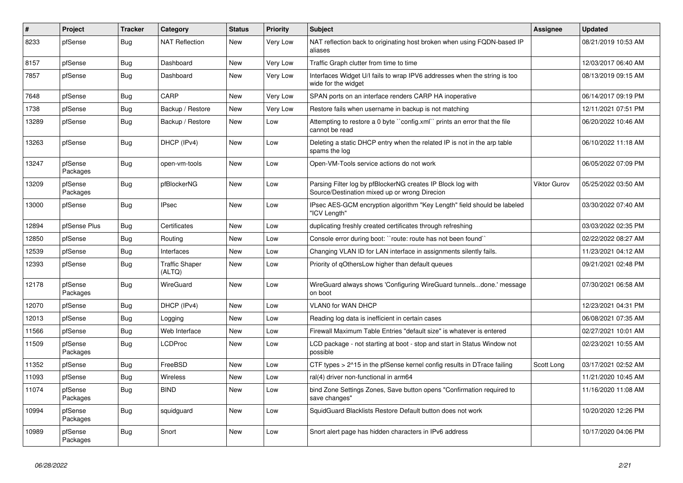| #     | Project             | <b>Tracker</b> | Category                        | <b>Status</b> | <b>Priority</b> | <b>Subject</b>                                                                                               | Assignee     | <b>Updated</b>      |
|-------|---------------------|----------------|---------------------------------|---------------|-----------------|--------------------------------------------------------------------------------------------------------------|--------------|---------------------|
| 8233  | pfSense             | Bug            | <b>NAT Reflection</b>           | New           | Very Low        | NAT reflection back to originating host broken when using FQDN-based IP<br>aliases                           |              | 08/21/2019 10:53 AM |
| 8157  | pfSense             | Bug            | Dashboard                       | <b>New</b>    | Very Low        | Traffic Graph clutter from time to time                                                                      |              | 12/03/2017 06:40 AM |
| 7857  | pfSense             | Bug            | Dashboard                       | New           | Very Low        | Interfaces Widget U/I fails to wrap IPV6 addresses when the string is too<br>wide for the widget             |              | 08/13/2019 09:15 AM |
| 7648  | pfSense             | Bug            | CARP                            | <b>New</b>    | Very Low        | SPAN ports on an interface renders CARP HA inoperative                                                       |              | 06/14/2017 09:19 PM |
| 1738  | pfSense             | <b>Bug</b>     | Backup / Restore                | <b>New</b>    | Very Low        | Restore fails when username in backup is not matching                                                        |              | 12/11/2021 07:51 PM |
| 13289 | pfSense             | <b>Bug</b>     | Backup / Restore                | <b>New</b>    | Low             | Attempting to restore a 0 byte "config.xml" prints an error that the file<br>cannot be read                  |              | 06/20/2022 10:46 AM |
| 13263 | pfSense             | Bug            | DHCP (IPv4)                     | New           | Low             | Deleting a static DHCP entry when the related IP is not in the arp table<br>spams the log                    |              | 06/10/2022 11:18 AM |
| 13247 | pfSense<br>Packages | Bug            | open-vm-tools                   | New           | Low             | Open-VM-Tools service actions do not work                                                                    |              | 06/05/2022 07:09 PM |
| 13209 | pfSense<br>Packages | Bug            | pfBlockerNG                     | New           | Low             | Parsing Filter log by pfBlockerNG creates IP Block log with<br>Source/Destination mixed up or wrong Direcion | Viktor Gurov | 05/25/2022 03:50 AM |
| 13000 | pfSense             | <b>Bug</b>     | <b>IPsec</b>                    | <b>New</b>    | Low             | IPsec AES-GCM encryption algorithm "Key Length" field should be labeled<br>"ICV Length"                      |              | 03/30/2022 07:40 AM |
| 12894 | pfSense Plus        | <b>Bug</b>     | Certificates                    | <b>New</b>    | Low             | duplicating freshly created certificates through refreshing                                                  |              | 03/03/2022 02:35 PM |
| 12850 | pfSense             | Bug            | Routing                         | <b>New</b>    | Low             | Console error during boot: "route: route has not been found"                                                 |              | 02/22/2022 08:27 AM |
| 12539 | pfSense             | <b>Bug</b>     | Interfaces                      | <b>New</b>    | Low             | Changing VLAN ID for LAN interface in assignments silently fails.                                            |              | 11/23/2021 04:12 AM |
| 12393 | pfSense             | Bug            | <b>Traffic Shaper</b><br>(ALTQ) | <b>New</b>    | Low             | Priority of gOthersLow higher than default queues                                                            |              | 09/21/2021 02:48 PM |
| 12178 | pfSense<br>Packages | <b>Bug</b>     | WireGuard                       | New           | Low             | WireGuard always shows 'Configuring WireGuard tunnelsdone.' message<br>on boot                               |              | 07/30/2021 06:58 AM |
| 12070 | pfSense             | <b>Bug</b>     | DHCP (IPv4)                     | New           | Low             | VLAN0 for WAN DHCP                                                                                           |              | 12/23/2021 04:31 PM |
| 12013 | pfSense             | <b>Bug</b>     | Logging                         | New           | Low             | Reading log data is inefficient in certain cases                                                             |              | 06/08/2021 07:35 AM |
| 11566 | pfSense             | <b>Bug</b>     | Web Interface                   | New           | Low             | Firewall Maximum Table Entries "default size" is whatever is entered                                         |              | 02/27/2021 10:01 AM |
| 11509 | pfSense<br>Packages | <b>Bug</b>     | <b>LCDProc</b>                  | New           | Low             | LCD package - not starting at boot - stop and start in Status Window not<br>possible                         |              | 02/23/2021 10:55 AM |
| 11352 | pfSense             | <b>Bug</b>     | FreeBSD                         | <b>New</b>    | Low             | CTF types > 2^15 in the pfSense kernel config results in DTrace failing                                      | Scott Long   | 03/17/2021 02:52 AM |
| 11093 | pfSense             | Bug            | Wireless                        | New           | Low             | ral(4) driver non-functional in arm64                                                                        |              | 11/21/2020 10:45 AM |
| 11074 | pfSense<br>Packages | Bug            | <b>BIND</b>                     | New           | Low             | bind Zone Settings Zones, Save button opens "Confirmation required to<br>save changes"                       |              | 11/16/2020 11:08 AM |
| 10994 | pfSense<br>Packages | Bug            | squidguard                      | <b>New</b>    | Low             | SquidGuard Blacklists Restore Default button does not work                                                   |              | 10/20/2020 12:26 PM |
| 10989 | pfSense<br>Packages | Bug            | Snort                           | <b>New</b>    | Low             | Snort alert page has hidden characters in IPv6 address                                                       |              | 10/17/2020 04:06 PM |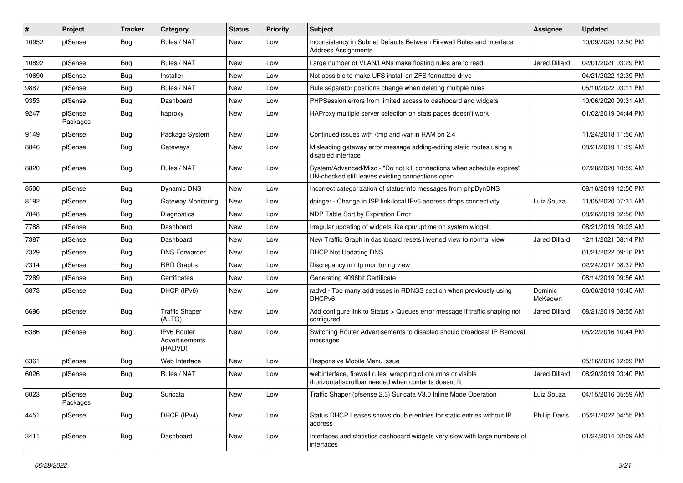| #     | Project             | <b>Tracker</b> | Category                                        | <b>Status</b> | <b>Priority</b> | <b>Subject</b>                                                                                                               | Assignee             | <b>Updated</b>      |
|-------|---------------------|----------------|-------------------------------------------------|---------------|-----------------|------------------------------------------------------------------------------------------------------------------------------|----------------------|---------------------|
| 10952 | pfSense             | Bug            | Rules / NAT                                     | New           | Low             | Inconsistency in Subnet Defaults Between Firewall Rules and Interface<br><b>Address Assignments</b>                          |                      | 10/09/2020 12:50 PM |
| 10892 | pfSense             | Bug            | Rules / NAT                                     | New           | Low             | Large number of VLAN/LANs make floating rules are to read                                                                    | <b>Jared Dillard</b> | 02/01/2021 03:29 PM |
| 10690 | pfSense             | <b>Bug</b>     | Installer                                       | <b>New</b>    | Low             | Not possible to make UFS install on ZFS formatted drive                                                                      |                      | 04/21/2022 12:39 PM |
| 9887  | pfSense             | Bug            | Rules / NAT                                     | New           | Low             | Rule separator positions change when deleting multiple rules                                                                 |                      | 05/10/2022 03:11 PM |
| 9353  | pfSense             | Bug            | Dashboard                                       | New           | Low             | PHPSession errors from limited access to dashboard and widgets                                                               |                      | 10/06/2020 09:31 AM |
| 9247  | pfSense<br>Packages | Bug            | haproxy                                         | New           | Low             | HAProxy multiple server selection on stats pages doesn't work                                                                |                      | 01/02/2019 04:44 PM |
| 9149  | pfSense             | Bug            | Package System                                  | New           | Low             | Continued issues with /tmp and /var in RAM on 2.4                                                                            |                      | 11/24/2018 11:56 AM |
| 8846  | pfSense             | <b>Bug</b>     | Gateways                                        | <b>New</b>    | Low             | Misleading gateway error message adding/editing static routes using a<br>disabled interface                                  |                      | 08/21/2019 11:29 AM |
| 8820  | pfSense             | <b>Bug</b>     | Rules / NAT                                     | <b>New</b>    | Low             | System/Advanced/Misc - "Do not kill connections when schedule expires"<br>UN-checked still leaves existing connections open. |                      | 07/28/2020 10:59 AM |
| 8500  | pfSense             | Bug            | <b>Dynamic DNS</b>                              | <b>New</b>    | Low             | Incorrect categorization of status/info messages from phpDynDNS                                                              |                      | 08/16/2019 12:50 PM |
| 8192  | pfSense             | <b>Bug</b>     | <b>Gateway Monitoring</b>                       | New           | Low             | dpinger - Change in ISP link-local IPv6 address drops connectivity                                                           | Luiz Souza           | 11/05/2020 07:31 AM |
| 7848  | pfSense             | Bug            | Diagnostics                                     | <b>New</b>    | Low             | NDP Table Sort by Expiration Error                                                                                           |                      | 08/26/2019 02:56 PM |
| 7788  | pfSense             | Bug            | Dashboard                                       | New           | Low             | Irregular updating of widgets like cpu/uptime on system widget.                                                              |                      | 08/21/2019 09:03 AM |
| 7387  | pfSense             | Bug            | Dashboard                                       | <b>New</b>    | Low             | New Traffic Graph in dashboard resets inverted view to normal view                                                           | <b>Jared Dillard</b> | 12/11/2021 08:14 PM |
| 7329  | pfSense             | Bug            | <b>DNS Forwarder</b>                            | New           | Low             | DHCP Not Updating DNS                                                                                                        |                      | 01/21/2022 09:16 PM |
| 7314  | pfSense             | <b>Bug</b>     | <b>RRD Graphs</b>                               | <b>New</b>    | Low             | Discrepancy in ntp monitoring view                                                                                           |                      | 02/24/2017 08:37 PM |
| 7289  | pfSense             | Bug            | Certificates                                    | New           | Low             | Generating 4096bit Certificate                                                                                               |                      | 08/14/2019 09:56 AM |
| 6873  | pfSense             | Bug            | DHCP (IPv6)                                     | New           | Low             | radvd - Too many addresses in RDNSS section when previously using<br>DHCPv6                                                  | Dominic<br>McKeown   | 06/06/2018 10:45 AM |
| 6696  | pfSense             | Bug            | <b>Traffic Shaper</b><br>(ALTQ)                 | <b>New</b>    | Low             | Add configure link to Status > Queues error message if traffic shaping not<br>configured                                     | Jared Dillard        | 08/21/2019 08:55 AM |
| 6386  | pfSense             | Bug            | <b>IPv6 Router</b><br>Advertisements<br>(RADVD) | <b>New</b>    | Low             | Switching Router Advertisements to disabled should broadcast IP Removal<br>messages                                          |                      | 05/22/2016 10:44 PM |
| 6361  | pfSense             | Bug            | Web Interface                                   | New           | Low             | Responsive Mobile Menu issue                                                                                                 |                      | 05/16/2016 12:09 PM |
| 6026  | pfSense             | Bug            | Rules / NAT                                     | New           | Low             | webinterface, firewall rules, wrapping of columns or visible<br>(horizontal) scrollbar needed when contents doesnt fit       | Jared Dillard        | 08/20/2019 03:40 PM |
| 6023  | pfSense<br>Packages | Bug            | Suricata                                        | New           | Low             | Traffic Shaper (pfsense 2.3) Suricata V3.0 Inline Mode Operation                                                             | Luiz Souza           | 04/15/2016 05:59 AM |
| 4451  | pfSense             | <b>Bug</b>     | DHCP (IPv4)                                     | New           | Low             | Status DHCP Leases shows double entries for static entries without IP<br>address                                             | <b>Phillip Davis</b> | 05/21/2022 04:55 PM |
| 3411  | pfSense             | Bug            | Dashboard                                       | New           | Low             | Interfaces and statistics dashboard widgets very slow with large numbers of<br>interfaces                                    |                      | 01/24/2014 02:09 AM |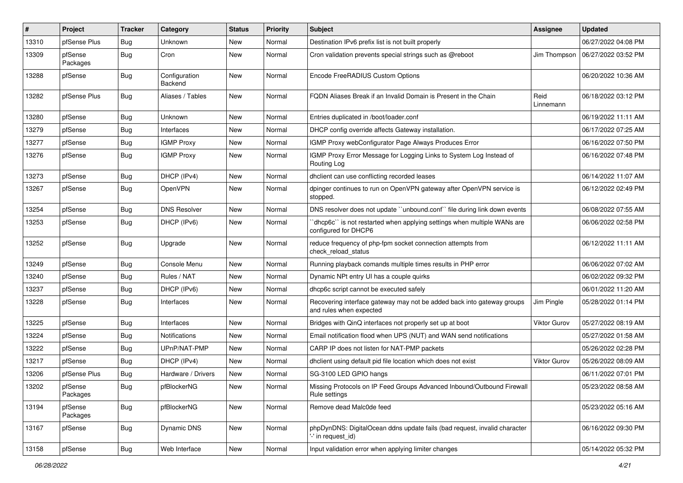| #     | <b>Project</b>      | <b>Tracker</b> | Category                 | <b>Status</b> | <b>Priority</b> | <b>Subject</b>                                                                                    | Assignee            | <b>Updated</b>      |
|-------|---------------------|----------------|--------------------------|---------------|-----------------|---------------------------------------------------------------------------------------------------|---------------------|---------------------|
| 13310 | pfSense Plus        | <b>Bug</b>     | Unknown                  | New           | Normal          | Destination IPv6 prefix list is not built properly                                                |                     | 06/27/2022 04:08 PM |
| 13309 | pfSense<br>Packages | <b>Bug</b>     | Cron                     | New           | Normal          | Cron validation prevents special strings such as @reboot                                          | Jim Thompson        | 06/27/2022 03:52 PM |
| 13288 | pfSense             | Bug            | Configuration<br>Backend | New           | Normal          | Encode FreeRADIUS Custom Options                                                                  |                     | 06/20/2022 10:36 AM |
| 13282 | pfSense Plus        | <b>Bug</b>     | Aliases / Tables         | New           | Normal          | FQDN Aliases Break if an Invalid Domain is Present in the Chain                                   | Reid<br>Linnemann   | 06/18/2022 03:12 PM |
| 13280 | pfSense             | <b>Bug</b>     | Unknown                  | <b>New</b>    | Normal          | Entries duplicated in /boot/loader.conf                                                           |                     | 06/19/2022 11:11 AM |
| 13279 | pfSense             | Bug            | Interfaces               | New           | Normal          | DHCP config override affects Gateway installation.                                                |                     | 06/17/2022 07:25 AM |
| 13277 | pfSense             | <b>Bug</b>     | <b>IGMP Proxy</b>        | New           | Normal          | IGMP Proxy webConfigurator Page Always Produces Error                                             |                     | 06/16/2022 07:50 PM |
| 13276 | pfSense             | <b>Bug</b>     | <b>IGMP Proxy</b>        | New           | Normal          | IGMP Proxy Error Message for Logging Links to System Log Instead of<br>Routing Log                |                     | 06/16/2022 07:48 PM |
| 13273 | pfSense             | Bug            | DHCP (IPv4)              | New           | Normal          | dhclient can use conflicting recorded leases                                                      |                     | 06/14/2022 11:07 AM |
| 13267 | pfSense             | Bug            | OpenVPN                  | New           | Normal          | dpinger continues to run on OpenVPN gateway after OpenVPN service is<br>stopped.                  |                     | 06/12/2022 02:49 PM |
| 13254 | pfSense             | <b>Bug</b>     | <b>DNS Resolver</b>      | <b>New</b>    | Normal          | DNS resolver does not update "unbound.conf" file during link down events                          |                     | 06/08/2022 07:55 AM |
| 13253 | pfSense             | Bug            | DHCP (IPv6)              | New           | Normal          | 'dhcp6c'' is not restarted when applying settings when multiple WANs are<br>configured for DHCP6  |                     | 06/06/2022 02:58 PM |
| 13252 | pfSense             | <b>Bug</b>     | Upgrade                  | New           | Normal          | reduce frequency of php-fpm socket connection attempts from<br>check_reload_status                |                     | 06/12/2022 11:11 AM |
| 13249 | pfSense             | <b>Bug</b>     | Console Menu             | New           | Normal          | Running playback comands multiple times results in PHP error                                      |                     | 06/06/2022 07:02 AM |
| 13240 | pfSense             | <b>Bug</b>     | Rules / NAT              | New           | Normal          | Dynamic NPt entry UI has a couple quirks                                                          |                     | 06/02/2022 09:32 PM |
| 13237 | pfSense             | <b>Bug</b>     | DHCP (IPv6)              | New           | Normal          | dhcp6c script cannot be executed safely                                                           |                     | 06/01/2022 11:20 AM |
| 13228 | pfSense             | Bug            | Interfaces               | New           | Normal          | Recovering interface gateway may not be added back into gateway groups<br>and rules when expected | Jim Pingle          | 05/28/2022 01:14 PM |
| 13225 | pfSense             | <b>Bug</b>     | Interfaces               | <b>New</b>    | Normal          | Bridges with QinQ interfaces not properly set up at boot                                          | <b>Viktor Gurov</b> | 05/27/2022 08:19 AM |
| 13224 | pfSense             | <b>Bug</b>     | <b>Notifications</b>     | New           | Normal          | Email notification flood when UPS (NUT) and WAN send notifications                                |                     | 05/27/2022 01:58 AM |
| 13222 | pfSense             | <b>Bug</b>     | UPnP/NAT-PMP             | New           | Normal          | CARP IP does not listen for NAT-PMP packets                                                       |                     | 05/26/2022 02:28 PM |
| 13217 | pfSense             | Bug            | DHCP (IPv4)              | New           | Normal          | dhclient using default pid file location which does not exist                                     | Viktor Gurov        | 05/26/2022 08:09 AM |
| 13206 | pfSense Plus        | <b>Bug</b>     | Hardware / Drivers       | New           | Normal          | SG-3100 LED GPIO hangs                                                                            |                     | 06/11/2022 07:01 PM |
| 13202 | pfSense<br>Packages | <b>Bug</b>     | pfBlockerNG              | New           | Normal          | Missing Protocols on IP Feed Groups Advanced Inbound/Outbound Firewall<br>Rule settings           |                     | 05/23/2022 08:58 AM |
| 13194 | pfSense<br>Packages | Bug            | pfBlockerNG              | New           | Normal          | Remove dead Malc0de feed                                                                          |                     | 05/23/2022 05:16 AM |
| 13167 | pfSense             | Bug            | Dynamic DNS              | New           | Normal          | phpDynDNS: DigitalOcean ddns update fails (bad request, invalid character<br>'-' in request id)   |                     | 06/16/2022 09:30 PM |
| 13158 | pfSense             | Bug            | Web Interface            | New           | Normal          | Input validation error when applying limiter changes                                              |                     | 05/14/2022 05:32 PM |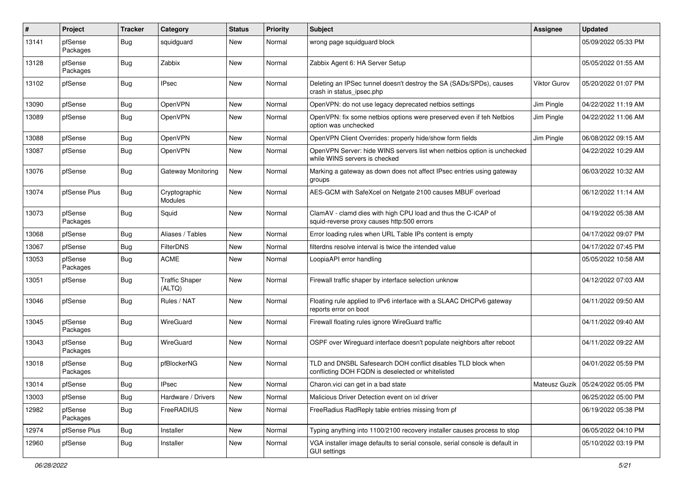| #     | Project             | <b>Tracker</b> | Category                        | <b>Status</b> | <b>Priority</b> | Subject                                                                                                            | <b>Assignee</b> | <b>Updated</b>                      |
|-------|---------------------|----------------|---------------------------------|---------------|-----------------|--------------------------------------------------------------------------------------------------------------------|-----------------|-------------------------------------|
| 13141 | pfSense<br>Packages | Bug            | squidguard                      | New           | Normal          | wrong page squidguard block                                                                                        |                 | 05/09/2022 05:33 PM                 |
| 13128 | pfSense<br>Packages | Bug            | Zabbix                          | <b>New</b>    | Normal          | Zabbix Agent 6: HA Server Setup                                                                                    |                 | 05/05/2022 01:55 AM                 |
| 13102 | pfSense             | Bug            | <b>IPsec</b>                    | New           | Normal          | Deleting an IPSec tunnel doesn't destroy the SA (SADs/SPDs), causes<br>crash in status ipsec.php                   | Viktor Gurov    | 05/20/2022 01:07 PM                 |
| 13090 | pfSense             | Bug            | OpenVPN                         | New           | Normal          | OpenVPN: do not use legacy deprecated netbios settings                                                             | Jim Pingle      | 04/22/2022 11:19 AM                 |
| 13089 | pfSense             | Bug            | OpenVPN                         | New           | Normal          | OpenVPN: fix some netbios options were preserved even if teh Netbios<br>option was unchecked                       | Jim Pingle      | 04/22/2022 11:06 AM                 |
| 13088 | pfSense             | Bug            | OpenVPN                         | <b>New</b>    | Normal          | OpenVPN Client Overrides: properly hide/show form fields                                                           | Jim Pingle      | 06/08/2022 09:15 AM                 |
| 13087 | pfSense             | Bug            | OpenVPN                         | New           | Normal          | OpenVPN Server: hide WINS servers list when netbios option is unchecked<br>while WINS servers is checked           |                 | 04/22/2022 10:29 AM                 |
| 13076 | pfSense             | <b>Bug</b>     | <b>Gateway Monitoring</b>       | New           | Normal          | Marking a gateway as down does not affect IPsec entries using gateway<br>groups                                    |                 | 06/03/2022 10:32 AM                 |
| 13074 | pfSense Plus        | Bug            | Cryptographic<br><b>Modules</b> | New           | Normal          | AES-GCM with SafeXcel on Netgate 2100 causes MBUF overload                                                         |                 | 06/12/2022 11:14 AM                 |
| 13073 | pfSense<br>Packages | Bug            | Squid                           | New           | Normal          | ClamAV - clamd dies with high CPU load and thus the C-ICAP of<br>squid-reverse proxy causes http:500 errors        |                 | 04/19/2022 05:38 AM                 |
| 13068 | pfSense             | Bug            | Aliases / Tables                | New           | Normal          | Error loading rules when URL Table IPs content is empty                                                            |                 | 04/17/2022 09:07 PM                 |
| 13067 | pfSense             | Bug            | FilterDNS                       | New           | Normal          | filterdns resolve interval is twice the intended value                                                             |                 | 04/17/2022 07:45 PM                 |
| 13053 | pfSense<br>Packages | Bug            | <b>ACME</b>                     | New           | Normal          | LoopiaAPI error handling                                                                                           |                 | 05/05/2022 10:58 AM                 |
| 13051 | pfSense             | Bug            | <b>Traffic Shaper</b><br>(ALTQ) | New           | Normal          | Firewall traffic shaper by interface selection unknow                                                              |                 | 04/12/2022 07:03 AM                 |
| 13046 | pfSense             | Bug            | Rules / NAT                     | <b>New</b>    | Normal          | Floating rule applied to IPv6 interface with a SLAAC DHCPv6 gateway<br>reports error on boot                       |                 | 04/11/2022 09:50 AM                 |
| 13045 | pfSense<br>Packages | Bug            | WireGuard                       | <b>New</b>    | Normal          | Firewall floating rules ignore WireGuard traffic                                                                   |                 | 04/11/2022 09:40 AM                 |
| 13043 | pfSense<br>Packages | Bug            | WireGuard                       | New           | Normal          | OSPF over Wireguard interface doesn't populate neighbors after reboot                                              |                 | 04/11/2022 09:22 AM                 |
| 13018 | pfSense<br>Packages | Bug            | pfBlockerNG                     | New           | Normal          | TLD and DNSBL Safesearch DOH conflict disables TLD block when<br>conflicting DOH FQDN is deselected or whitelisted |                 | 04/01/2022 05:59 PM                 |
| 13014 | pfSense             | Bug            | <b>IPsec</b>                    | New           | Normal          | Charon.vici can get in a bad state                                                                                 |                 | Mateusz Guzik   05/24/2022 05:05 PM |
| 13003 | pfSense             | <b>Bug</b>     | Hardware / Drivers              | New           | Normal          | Malicious Driver Detection event on ixl driver                                                                     |                 | 06/25/2022 05:00 PM                 |
| 12982 | pfSense<br>Packages | <b>Bug</b>     | FreeRADIUS                      | New           | Normal          | FreeRadius RadReply table entries missing from pf                                                                  |                 | 06/19/2022 05:38 PM                 |
| 12974 | pfSense Plus        | <b>Bug</b>     | Installer                       | New           | Normal          | Typing anything into 1100/2100 recovery installer causes process to stop                                           |                 | 06/05/2022 04:10 PM                 |
| 12960 | pfSense             | Bug            | Installer                       | New           | Normal          | VGA installer image defaults to serial console, serial console is default in<br><b>GUI settings</b>                |                 | 05/10/2022 03:19 PM                 |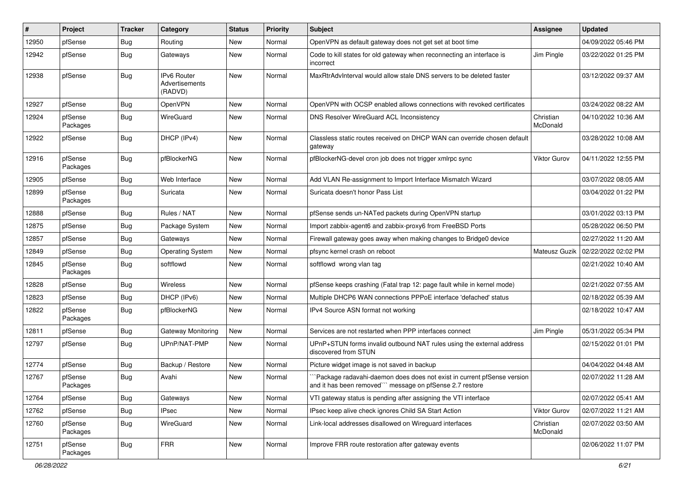| #     | Project             | Tracker    | Category                                               | <b>Status</b> | Priority | <b>Subject</b>                                                                                                                      | <b>Assignee</b>       | <b>Updated</b>      |
|-------|---------------------|------------|--------------------------------------------------------|---------------|----------|-------------------------------------------------------------------------------------------------------------------------------------|-----------------------|---------------------|
| 12950 | pfSense             | <b>Bug</b> | Routing                                                | New           | Normal   | OpenVPN as default gateway does not get set at boot time                                                                            |                       | 04/09/2022 05:46 PM |
| 12942 | pfSense             | Bug        | Gateways                                               | New           | Normal   | Code to kill states for old gateway when reconnecting an interface is<br>incorrect                                                  | Jim Pingle            | 03/22/2022 01:25 PM |
| 12938 | pfSense             | <b>Bug</b> | <b>IPv6 Router</b><br><b>Advertisements</b><br>(RADVD) | New           | Normal   | MaxRtrAdvInterval would allow stale DNS servers to be deleted faster                                                                |                       | 03/12/2022 09:37 AM |
| 12927 | pfSense             | Bug        | OpenVPN                                                | New           | Normal   | OpenVPN with OCSP enabled allows connections with revoked certificates                                                              |                       | 03/24/2022 08:22 AM |
| 12924 | pfSense<br>Packages | <b>Bug</b> | WireGuard                                              | New           | Normal   | DNS Resolver WireGuard ACL Inconsistency                                                                                            | Christian<br>McDonald | 04/10/2022 10:36 AM |
| 12922 | pfSense             | Bug        | DHCP (IPv4)                                            | New           | Normal   | Classless static routes received on DHCP WAN can override chosen default<br>gateway                                                 |                       | 03/28/2022 10:08 AM |
| 12916 | pfSense<br>Packages | Bug        | pfBlockerNG                                            | New           | Normal   | pfBlockerNG-devel cron job does not trigger xmlrpc sync                                                                             | <b>Viktor Gurov</b>   | 04/11/2022 12:55 PM |
| 12905 | pfSense             | Bug        | Web Interface                                          | New           | Normal   | Add VLAN Re-assignment to Import Interface Mismatch Wizard                                                                          |                       | 03/07/2022 08:05 AM |
| 12899 | pfSense<br>Packages | <b>Bug</b> | Suricata                                               | <b>New</b>    | Normal   | Suricata doesn't honor Pass List                                                                                                    |                       | 03/04/2022 01:22 PM |
| 12888 | pfSense             | <b>Bug</b> | Rules / NAT                                            | New           | Normal   | pfSense sends un-NATed packets during OpenVPN startup                                                                               |                       | 03/01/2022 03:13 PM |
| 12875 | pfSense             | Bug        | Package System                                         | New           | Normal   | Import zabbix-agent6 and zabbix-proxy6 from FreeBSD Ports                                                                           |                       | 05/28/2022 06:50 PM |
| 12857 | pfSense             | Bug        | Gateways                                               | <b>New</b>    | Normal   | Firewall gateway goes away when making changes to Bridge0 device                                                                    |                       | 02/27/2022 11:20 AM |
| 12849 | pfSense             | Bug        | <b>Operating System</b>                                | New           | Normal   | pfsync kernel crash on reboot                                                                                                       | Mateusz Guzik         | 02/22/2022 02:02 PM |
| 12845 | pfSense<br>Packages | Bug        | softflowd                                              | New           | Normal   | softflowd wrong vlan tag                                                                                                            |                       | 02/21/2022 10:40 AM |
| 12828 | pfSense             | Bug        | Wireless                                               | New           | Normal   | pfSense keeps crashing (Fatal trap 12: page fault while in kernel mode)                                                             |                       | 02/21/2022 07:55 AM |
| 12823 | pfSense             | Bug        | DHCP (IPv6)                                            | New           | Normal   | Multiple DHCP6 WAN connections PPPoE interface 'defached' status                                                                    |                       | 02/18/2022 05:39 AM |
| 12822 | pfSense<br>Packages | Bug        | pfBlockerNG                                            | New           | Normal   | IPv4 Source ASN format not working                                                                                                  |                       | 02/18/2022 10:47 AM |
| 12811 | pfSense             | Bug        | Gateway Monitoring                                     | New           | Normal   | Services are not restarted when PPP interfaces connect                                                                              | Jim Pingle            | 05/31/2022 05:34 PM |
| 12797 | pfSense             | <b>Bug</b> | UPnP/NAT-PMP                                           | New           | Normal   | UPnP+STUN forms invalid outbound NAT rules using the external address<br>discovered from STUN                                       |                       | 02/15/2022 01:01 PM |
| 12774 | pfSense             | Bug        | Backup / Restore                                       | New           | Normal   | Picture widget image is not saved in backup                                                                                         |                       | 04/04/2022 04:48 AM |
| 12767 | pfSense<br>Packages | Bug        | Avahi                                                  | New           | Normal   | "Package radavahi-daemon does does not exist in current pfSense version<br>and it has been removed"" message on pfSense 2.7 restore |                       | 02/07/2022 11:28 AM |
| 12764 | pfSense             | Bug        | Gateways                                               | New           | Normal   | VTI gateway status is pending after assigning the VTI interface                                                                     |                       | 02/07/2022 05:41 AM |
| 12762 | pfSense             | <b>Bug</b> | <b>IPsec</b>                                           | New           | Normal   | IPsec keep alive check ignores Child SA Start Action                                                                                | Viktor Gurov          | 02/07/2022 11:21 AM |
| 12760 | pfSense<br>Packages | <b>Bug</b> | WireGuard                                              | New           | Normal   | Link-local addresses disallowed on Wireguard interfaces                                                                             | Christian<br>McDonald | 02/07/2022 03:50 AM |
| 12751 | pfSense<br>Packages | <b>Bug</b> | <b>FRR</b>                                             | New           | Normal   | Improve FRR route restoration after gateway events                                                                                  |                       | 02/06/2022 11:07 PM |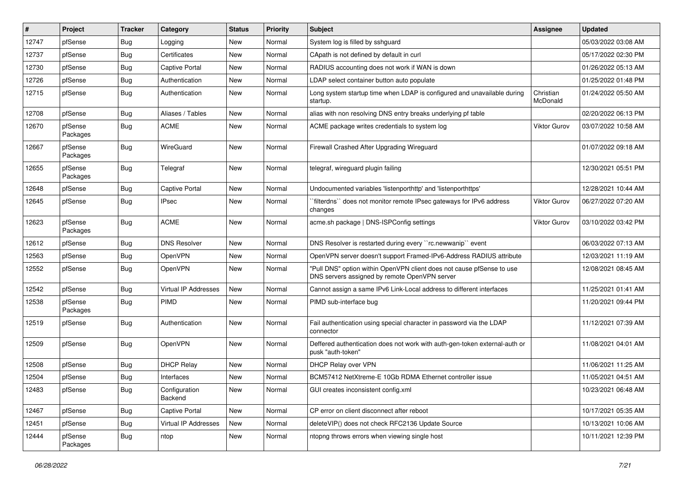| $\vert$ # | Project             | <b>Tracker</b> | Category                    | <b>Status</b> | <b>Priority</b> | Subject                                                                                                                | <b>Assignee</b>       | <b>Updated</b>      |
|-----------|---------------------|----------------|-----------------------------|---------------|-----------------|------------------------------------------------------------------------------------------------------------------------|-----------------------|---------------------|
| 12747     | pfSense             | Bug            | Logging                     | New           | Normal          | System log is filled by sshguard                                                                                       |                       | 05/03/2022 03:08 AM |
| 12737     | pfSense             | <b>Bug</b>     | Certificates                | <b>New</b>    | Normal          | CApath is not defined by default in curl                                                                               |                       | 05/17/2022 02:30 PM |
| 12730     | pfSense             | Bug            | <b>Captive Portal</b>       | New           | Normal          | RADIUS accounting does not work if WAN is down                                                                         |                       | 01/26/2022 05:13 AM |
| 12726     | pfSense             | <b>Bug</b>     | Authentication              | New           | Normal          | LDAP select container button auto populate                                                                             |                       | 01/25/2022 01:48 PM |
| 12715     | pfSense             | Bug            | Authentication              | New           | Normal          | Long system startup time when LDAP is configured and unavailable during<br>startup.                                    | Christian<br>McDonald | 01/24/2022 05:50 AM |
| 12708     | pfSense             | Bug            | Aliases / Tables            | New           | Normal          | alias with non resolving DNS entry breaks underlying pf table                                                          |                       | 02/20/2022 06:13 PM |
| 12670     | pfSense<br>Packages | Bug            | <b>ACME</b>                 | New           | Normal          | ACME package writes credentials to system log                                                                          | <b>Viktor Gurov</b>   | 03/07/2022 10:58 AM |
| 12667     | pfSense<br>Packages | Bug            | WireGuard                   | New           | Normal          | Firewall Crashed After Upgrading Wireguard                                                                             |                       | 01/07/2022 09:18 AM |
| 12655     | pfSense<br>Packages | Bug            | Telegraf                    | New           | Normal          | telegraf, wireguard plugin failing                                                                                     |                       | 12/30/2021 05:51 PM |
| 12648     | pfSense             | Bug            | <b>Captive Portal</b>       | <b>New</b>    | Normal          | Undocumented variables 'listenporthttp' and 'listenporthttps'                                                          |                       | 12/28/2021 10:44 AM |
| 12645     | pfSense             | Bug            | <b>IPsec</b>                | New           | Normal          | `filterdns`` does not monitor remote IPsec gateways for IPv6 address<br>changes                                        | <b>Viktor Gurov</b>   | 06/27/2022 07:20 AM |
| 12623     | pfSense<br>Packages | <b>Bug</b>     | <b>ACME</b>                 | New           | Normal          | acme.sh package   DNS-ISPConfig settings                                                                               | <b>Viktor Gurov</b>   | 03/10/2022 03:42 PM |
| 12612     | pfSense             | Bug            | <b>DNS Resolver</b>         | New           | Normal          | DNS Resolver is restarted during every "rc.newwanip" event                                                             |                       | 06/03/2022 07:13 AM |
| 12563     | pfSense             | Bug            | OpenVPN                     | New           | Normal          | OpenVPN server doesn't support Framed-IPv6-Address RADIUS attribute                                                    |                       | 12/03/2021 11:19 AM |
| 12552     | pfSense             | Bug            | OpenVPN                     | New           | Normal          | "Pull DNS" option within OpenVPN client does not cause pfSense to use<br>DNS servers assigned by remote OpenVPN server |                       | 12/08/2021 08:45 AM |
| 12542     | pfSense             | <b>Bug</b>     | <b>Virtual IP Addresses</b> | New           | Normal          | Cannot assign a same IPv6 Link-Local address to different interfaces                                                   |                       | 11/25/2021 01:41 AM |
| 12538     | pfSense<br>Packages | <b>Bug</b>     | PIMD                        | New           | Normal          | PIMD sub-interface bug                                                                                                 |                       | 11/20/2021 09:44 PM |
| 12519     | pfSense             | Bug            | Authentication              | New           | Normal          | Fail authentication using special character in password via the LDAP<br>connector                                      |                       | 11/12/2021 07:39 AM |
| 12509     | pfSense             | Bug            | OpenVPN                     | New           | Normal          | Deffered authentication does not work with auth-gen-token external-auth or<br>pusk "auth-token"                        |                       | 11/08/2021 04:01 AM |
| 12508     | pfSense             | Bug            | <b>DHCP Relay</b>           | New           | Normal          | DHCP Relay over VPN                                                                                                    |                       | 11/06/2021 11:25 AM |
| 12504     | pfSense             | Bug            | Interfaces                  | New           | Normal          | BCM57412 NetXtreme-E 10Gb RDMA Ethernet controller issue                                                               |                       | 11/05/2021 04:51 AM |
| 12483     | pfSense             | <b>Bug</b>     | Configuration<br>Backend    | New           | Normal          | GUI creates inconsistent config.xml                                                                                    |                       | 10/23/2021 06:48 AM |
| 12467     | pfSense             | Bug            | Captive Portal              | New           | Normal          | CP error on client disconnect after reboot                                                                             |                       | 10/17/2021 05:35 AM |
| 12451     | pfSense             | Bug            | Virtual IP Addresses        | New           | Normal          | deleteVIP() does not check RFC2136 Update Source                                                                       |                       | 10/13/2021 10:06 AM |
| 12444     | pfSense<br>Packages | Bug            | ntop                        | New           | Normal          | ntopng throws errors when viewing single host                                                                          |                       | 10/11/2021 12:39 PM |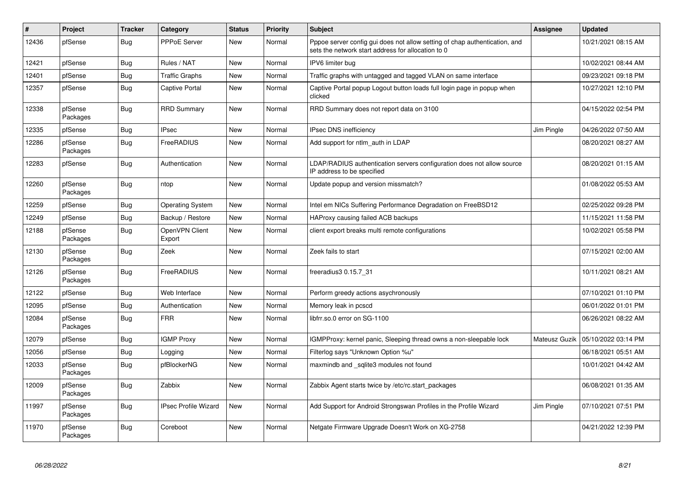| $\pmb{\#}$ | Project             | <b>Tracker</b> | Category                    | <b>Status</b> | <b>Priority</b> | <b>Subject</b>                                                                                                                   | Assignee      | <b>Updated</b>      |
|------------|---------------------|----------------|-----------------------------|---------------|-----------------|----------------------------------------------------------------------------------------------------------------------------------|---------------|---------------------|
| 12436      | pfSense             | <b>Bug</b>     | PPPoE Server                | <b>New</b>    | Normal          | Pppoe server config gui does not allow setting of chap authentication, and<br>sets the network start address for allocation to 0 |               | 10/21/2021 08:15 AM |
| 12421      | pfSense             | Bug            | Rules / NAT                 | New           | Normal          | IPV6 limiter bug                                                                                                                 |               | 10/02/2021 08:44 AM |
| 12401      | pfSense             | Bug            | <b>Traffic Graphs</b>       | <b>New</b>    | Normal          | Traffic graphs with untagged and tagged VLAN on same interface                                                                   |               | 09/23/2021 09:18 PM |
| 12357      | pfSense             | Bug            | <b>Captive Portal</b>       | New           | Normal          | Captive Portal popup Logout button loads full login page in popup when<br>clicked                                                |               | 10/27/2021 12:10 PM |
| 12338      | pfSense<br>Packages | <b>Bug</b>     | <b>RRD Summary</b>          | New           | Normal          | RRD Summary does not report data on 3100                                                                                         |               | 04/15/2022 02:54 PM |
| 12335      | pfSense             | <b>Bug</b>     | <b>IPsec</b>                | New           | Normal          | <b>IPsec DNS inefficiency</b>                                                                                                    | Jim Pingle    | 04/26/2022 07:50 AM |
| 12286      | pfSense<br>Packages | <b>Bug</b>     | FreeRADIUS                  | <b>New</b>    | Normal          | Add support for ntlm auth in LDAP                                                                                                |               | 08/20/2021 08:27 AM |
| 12283      | pfSense             | <b>Bug</b>     | Authentication              | New           | Normal          | LDAP/RADIUS authentication servers configuration does not allow source<br>IP address to be specified                             |               | 08/20/2021 01:15 AM |
| 12260      | pfSense<br>Packages | <b>Bug</b>     | ntop                        | <b>New</b>    | Normal          | Update popup and version missmatch?                                                                                              |               | 01/08/2022 05:53 AM |
| 12259      | pfSense             | <b>Bug</b>     | <b>Operating System</b>     | New           | Normal          | Intel em NICs Suffering Performance Degradation on FreeBSD12                                                                     |               | 02/25/2022 09:28 PM |
| 12249      | pfSense             | Bug            | Backup / Restore            | New           | Normal          | HAProxy causing failed ACB backups                                                                                               |               | 11/15/2021 11:58 PM |
| 12188      | pfSense<br>Packages | Bug            | OpenVPN Client<br>Export    | New           | Normal          | client export breaks multi remote configurations                                                                                 |               | 10/02/2021 05:58 PM |
| 12130      | pfSense<br>Packages | <b>Bug</b>     | Zeek                        | <b>New</b>    | Normal          | Zeek fails to start                                                                                                              |               | 07/15/2021 02:00 AM |
| 12126      | pfSense<br>Packages | <b>Bug</b>     | FreeRADIUS                  | New           | Normal          | freeradius3 0.15.7 31                                                                                                            |               | 10/11/2021 08:21 AM |
| 12122      | pfSense             | Bug            | Web Interface               | New           | Normal          | Perform greedy actions asychronously                                                                                             |               | 07/10/2021 01:10 PM |
| 12095      | pfSense             | <b>Bug</b>     | Authentication              | <b>New</b>    | Normal          | Memory leak in pcscd                                                                                                             |               | 06/01/2022 01:01 PM |
| 12084      | pfSense<br>Packages | Bug            | <b>FRR</b>                  | New           | Normal          | libfrr.so.0 error on SG-1100                                                                                                     |               | 06/26/2021 08:22 AM |
| 12079      | pfSense             | Bug            | <b>IGMP Proxy</b>           | <b>New</b>    | Normal          | IGMPProxy: kernel panic, Sleeping thread owns a non-sleepable lock                                                               | Mateusz Guzik | 05/10/2022 03:14 PM |
| 12056      | pfSense             | <b>Bug</b>     | Logging                     | New           | Normal          | Filterlog says "Unknown Option %u"                                                                                               |               | 06/18/2021 05:51 AM |
| 12033      | pfSense<br>Packages | <b>Bug</b>     | pfBlockerNG                 | <b>New</b>    | Normal          | maxmindb and sqlite3 modules not found                                                                                           |               | 10/01/2021 04:42 AM |
| 12009      | pfSense<br>Packages | Bug            | Zabbix                      | <b>New</b>    | Normal          | Zabbix Agent starts twice by /etc/rc.start packages                                                                              |               | 06/08/2021 01:35 AM |
| 11997      | pfSense<br>Packages | Bug            | <b>IPsec Profile Wizard</b> | <b>New</b>    | Normal          | Add Support for Android Strongswan Profiles in the Profile Wizard                                                                | Jim Pingle    | 07/10/2021 07:51 PM |
| 11970      | pfSense<br>Packages | Bug            | Coreboot                    | New           | Normal          | Netgate Firmware Upgrade Doesn't Work on XG-2758                                                                                 |               | 04/21/2022 12:39 PM |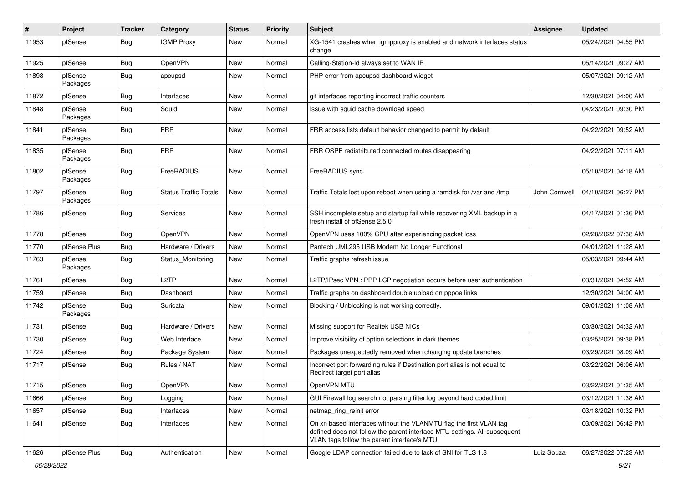| ∦     | Project             | <b>Tracker</b> | Category                     | <b>Status</b> | <b>Priority</b> | <b>Subject</b>                                                                                                                                                                                  | Assignee      | <b>Updated</b>      |
|-------|---------------------|----------------|------------------------------|---------------|-----------------|-------------------------------------------------------------------------------------------------------------------------------------------------------------------------------------------------|---------------|---------------------|
| 11953 | pfSense             | Bug            | <b>IGMP Proxy</b>            | New           | Normal          | XG-1541 crashes when igmpproxy is enabled and network interfaces status<br>change                                                                                                               |               | 05/24/2021 04:55 PM |
| 11925 | pfSense             | Bug            | OpenVPN                      | New           | Normal          | Calling-Station-Id always set to WAN IP                                                                                                                                                         |               | 05/14/2021 09:27 AM |
| 11898 | pfSense<br>Packages | <b>Bug</b>     | apcupsd                      | New           | Normal          | PHP error from apcupsd dashboard widget                                                                                                                                                         |               | 05/07/2021 09:12 AM |
| 11872 | pfSense             | Bug            | Interfaces                   | New           | Normal          | gif interfaces reporting incorrect traffic counters                                                                                                                                             |               | 12/30/2021 04:00 AM |
| 11848 | pfSense<br>Packages | Bug            | Squid                        | New           | Normal          | Issue with squid cache download speed                                                                                                                                                           |               | 04/23/2021 09:30 PM |
| 11841 | pfSense<br>Packages | Bug            | <b>FRR</b>                   | New           | Normal          | FRR access lists default bahavior changed to permit by default                                                                                                                                  |               | 04/22/2021 09:52 AM |
| 11835 | pfSense<br>Packages | <b>Bug</b>     | <b>FRR</b>                   | New           | Normal          | FRR OSPF redistributed connected routes disappearing                                                                                                                                            |               | 04/22/2021 07:11 AM |
| 11802 | pfSense<br>Packages | Bug            | FreeRADIUS                   | <b>New</b>    | Normal          | FreeRADIUS sync                                                                                                                                                                                 |               | 05/10/2021 04:18 AM |
| 11797 | pfSense<br>Packages | Bug            | <b>Status Traffic Totals</b> | New           | Normal          | Traffic Totals lost upon reboot when using a ramdisk for /var and /tmp                                                                                                                          | John Cornwell | 04/10/2021 06:27 PM |
| 11786 | pfSense             | Bug            | Services                     | New           | Normal          | SSH incomplete setup and startup fail while recovering XML backup in a<br>fresh install of pfSense 2.5.0                                                                                        |               | 04/17/2021 01:36 PM |
| 11778 | pfSense             | Bug            | OpenVPN                      | New           | Normal          | OpenVPN uses 100% CPU after experiencing packet loss                                                                                                                                            |               | 02/28/2022 07:38 AM |
| 11770 | pfSense Plus        | <b>Bug</b>     | Hardware / Drivers           | New           | Normal          | Pantech UML295 USB Modem No Longer Functional                                                                                                                                                   |               | 04/01/2021 11:28 AM |
| 11763 | pfSense<br>Packages | <b>Bug</b>     | Status_Monitoring            | New           | Normal          | Traffic graphs refresh issue                                                                                                                                                                    |               | 05/03/2021 09:44 AM |
| 11761 | pfSense             | Bug            | L <sub>2</sub> TP            | New           | Normal          | L2TP/IPsec VPN : PPP LCP negotiation occurs before user authentication                                                                                                                          |               | 03/31/2021 04:52 AM |
| 11759 | pfSense             | Bug            | Dashboard                    | New           | Normal          | Traffic graphs on dashboard double upload on pppoe links                                                                                                                                        |               | 12/30/2021 04:00 AM |
| 11742 | pfSense<br>Packages | <b>Bug</b>     | Suricata                     | New           | Normal          | Blocking / Unblocking is not working correctly.                                                                                                                                                 |               | 09/01/2021 11:08 AM |
| 11731 | pfSense             | <b>Bug</b>     | Hardware / Drivers           | New           | Normal          | Missing support for Realtek USB NICs                                                                                                                                                            |               | 03/30/2021 04:32 AM |
| 11730 | pfSense             | <b>Bug</b>     | Web Interface                | New           | Normal          | Improve visibility of option selections in dark themes                                                                                                                                          |               | 03/25/2021 09:38 PM |
| 11724 | pfSense             | <b>Bug</b>     | Package System               | New           | Normal          | Packages unexpectedly removed when changing update branches                                                                                                                                     |               | 03/29/2021 08:09 AM |
| 11717 | pfSense             | Bug            | Rules / NAT                  | New           | Normal          | Incorrect port forwarding rules if Destination port alias is not equal to<br>Redirect target port alias                                                                                         |               | 03/22/2021 06:06 AM |
| 11715 | pfSense             | Bug            | OpenVPN                      | New           | Normal          | OpenVPN MTU                                                                                                                                                                                     |               | 03/22/2021 01:35 AM |
| 11666 | pfSense             | Bug            | Logging                      | New           | Normal          | GUI Firewall log search not parsing filter.log beyond hard coded limit                                                                                                                          |               | 03/12/2021 11:38 AM |
| 11657 | pfSense             | <b>Bug</b>     | Interfaces                   | New           | Normal          | netmap ring reinit error                                                                                                                                                                        |               | 03/18/2021 10:32 PM |
| 11641 | pfSense             | <b>Bug</b>     | Interfaces                   | New           | Normal          | On xn based interfaces without the VLANMTU flag the first VLAN tag<br>defined does not follow the parent interface MTU settings. All subsequent<br>VLAN tags follow the parent interface's MTU. |               | 03/09/2021 06:42 PM |
| 11626 | pfSense Plus        | Bug            | Authentication               | New           | Normal          | Google LDAP connection failed due to lack of SNI for TLS 1.3                                                                                                                                    | Luiz Souza    | 06/27/2022 07:23 AM |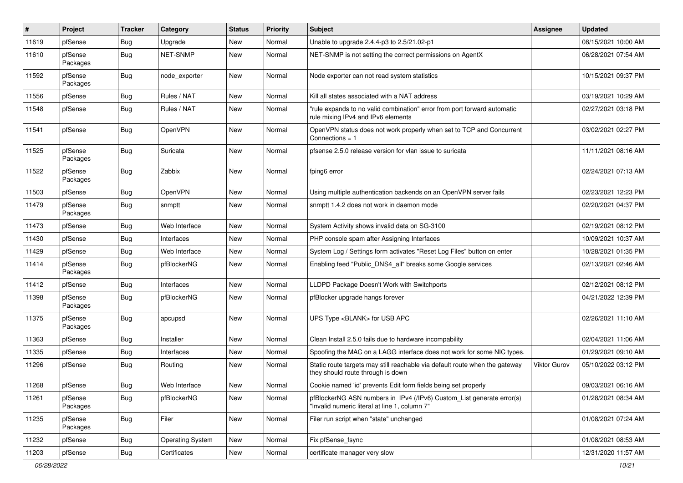| ∦     | Project             | <b>Tracker</b> | Category                | <b>Status</b> | <b>Priority</b> | <b>Subject</b>                                                                                                         | Assignee            | <b>Updated</b>      |
|-------|---------------------|----------------|-------------------------|---------------|-----------------|------------------------------------------------------------------------------------------------------------------------|---------------------|---------------------|
| 11619 | pfSense             | <b>Bug</b>     | Upgrade                 | New           | Normal          | Unable to upgrade 2.4.4-p3 to 2.5/21.02-p1                                                                             |                     | 08/15/2021 10:00 AM |
| 11610 | pfSense<br>Packages | <b>Bug</b>     | <b>NET-SNMP</b>         | New           | Normal          | NET-SNMP is not setting the correct permissions on AgentX                                                              |                     | 06/28/2021 07:54 AM |
| 11592 | pfSense<br>Packages | Bug            | node exporter           | New           | Normal          | Node exporter can not read system statistics                                                                           |                     | 10/15/2021 09:37 PM |
| 11556 | pfSense             | Bug            | Rules / NAT             | <b>New</b>    | Normal          | Kill all states associated with a NAT address                                                                          |                     | 03/19/2021 10:29 AM |
| 11548 | pfSense             | Bug            | Rules / NAT             | New           | Normal          | "rule expands to no valid combination" error from port forward automatic<br>rule mixing IPv4 and IPv6 elements         |                     | 02/27/2021 03:18 PM |
| 11541 | pfSense             | Bug            | OpenVPN                 | <b>New</b>    | Normal          | OpenVPN status does not work properly when set to TCP and Concurrent<br>Connections $= 1$                              |                     | 03/02/2021 02:27 PM |
| 11525 | pfSense<br>Packages | Bug            | Suricata                | New           | Normal          | pfsense 2.5.0 release version for vlan issue to suricata                                                               |                     | 11/11/2021 08:16 AM |
| 11522 | pfSense<br>Packages | Bug            | Zabbix                  | New           | Normal          | fping6 error                                                                                                           |                     | 02/24/2021 07:13 AM |
| 11503 | pfSense             | Bug            | OpenVPN                 | <b>New</b>    | Normal          | Using multiple authentication backends on an OpenVPN server fails                                                      |                     | 02/23/2021 12:23 PM |
| 11479 | pfSense<br>Packages | Bug            | snmptt                  | New           | Normal          | snmptt 1.4.2 does not work in daemon mode                                                                              |                     | 02/20/2021 04:37 PM |
| 11473 | pfSense             | Bug            | Web Interface           | New           | Normal          | System Activity shows invalid data on SG-3100                                                                          |                     | 02/19/2021 08:12 PM |
| 11430 | pfSense             | Bug            | Interfaces              | <b>New</b>    | Normal          | PHP console spam after Assigning Interfaces                                                                            |                     | 10/09/2021 10:37 AM |
| 11429 | pfSense             | <b>Bug</b>     | Web Interface           | New           | Normal          | System Log / Settings form activates "Reset Log Files" button on enter                                                 |                     | 10/28/2021 01:35 PM |
| 11414 | pfSense<br>Packages | Bug            | pfBlockerNG             | New           | Normal          | Enabling feed "Public_DNS4_all" breaks some Google services                                                            |                     | 02/13/2021 02:46 AM |
| 11412 | pfSense             | Bug            | Interfaces              | <b>New</b>    | Normal          | LLDPD Package Doesn't Work with Switchports                                                                            |                     | 02/12/2021 08:12 PM |
| 11398 | pfSense<br>Packages | Bug            | pfBlockerNG             | New           | Normal          | pfBlocker upgrade hangs forever                                                                                        |                     | 04/21/2022 12:39 PM |
| 11375 | pfSense<br>Packages | Bug            | apcupsd                 | New           | Normal          | UPS Type <blank> for USB APC</blank>                                                                                   |                     | 02/26/2021 11:10 AM |
| 11363 | pfSense             | <b>Bug</b>     | Installer               | New           | Normal          | Clean Install 2.5.0 fails due to hardware incompability                                                                |                     | 02/04/2021 11:06 AM |
| 11335 | pfSense             | Bug            | Interfaces              | New           | Normal          | Spoofing the MAC on a LAGG interface does not work for some NIC types.                                                 |                     | 01/29/2021 09:10 AM |
| 11296 | pfSense             | Bug            | Routing                 | New           | Normal          | Static route targets may still reachable via default route when the gateway<br>they should route through is down       | <b>Viktor Gurov</b> | 05/10/2022 03:12 PM |
| 11268 | pfSense             | <b>Bug</b>     | Web Interface           | New           | Normal          | Cookie named 'id' prevents Edit form fields being set properly                                                         |                     | 09/03/2021 06:16 AM |
| 11261 | pfSense<br>Packages | <b>Bug</b>     | pfBlockerNG             | New           | Normal          | pfBlockerNG ASN numbers in IPv4 (/IPv6) Custom_List generate error(s)<br>"Invalid numeric literal at line 1, column 7" |                     | 01/28/2021 08:34 AM |
| 11235 | pfSense<br>Packages | <b>Bug</b>     | Filer                   | New           | Normal          | Filer run script when "state" unchanged                                                                                |                     | 01/08/2021 07:24 AM |
| 11232 | pfSense             | <b>Bug</b>     | <b>Operating System</b> | New           | Normal          | Fix pfSense_fsync                                                                                                      |                     | 01/08/2021 08:53 AM |
| 11203 | pfSense             | Bug            | Certificates            | New           | Normal          | certificate manager very slow                                                                                          |                     | 12/31/2020 11:57 AM |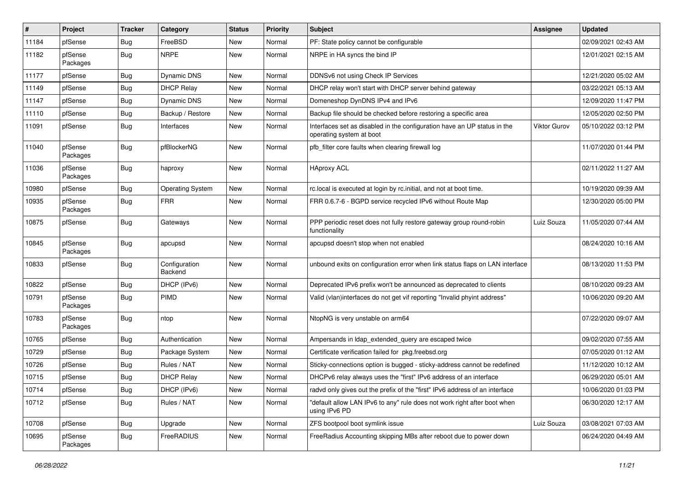| #     | Project             | <b>Tracker</b> | Category                 | <b>Status</b> | <b>Priority</b> | <b>Subject</b>                                                                                       | Assignee     | <b>Updated</b>      |
|-------|---------------------|----------------|--------------------------|---------------|-----------------|------------------------------------------------------------------------------------------------------|--------------|---------------------|
| 11184 | pfSense             | Bug            | FreeBSD                  | New           | Normal          | PF: State policy cannot be configurable                                                              |              | 02/09/2021 02:43 AM |
| 11182 | pfSense<br>Packages | Bug            | <b>NRPE</b>              | New           | Normal          | NRPE in HA syncs the bind IP                                                                         |              | 12/01/2021 02:15 AM |
| 11177 | pfSense             | <b>Bug</b>     | Dynamic DNS              | New           | Normal          | DDNSv6 not using Check IP Services                                                                   |              | 12/21/2020 05:02 AM |
| 11149 | pfSense             | Bug            | <b>DHCP Relay</b>        | New           | Normal          | DHCP relay won't start with DHCP server behind gateway                                               |              | 03/22/2021 05:13 AM |
| 11147 | pfSense             | <b>Bug</b>     | Dynamic DNS              | New           | Normal          | Domeneshop DynDNS IPv4 and IPv6                                                                      |              | 12/09/2020 11:47 PM |
| 11110 | pfSense             | Bug            | Backup / Restore         | New           | Normal          | Backup file should be checked before restoring a specific area                                       |              | 12/05/2020 02:50 PM |
| 11091 | pfSense             | Bug            | Interfaces               | New           | Normal          | Interfaces set as disabled in the configuration have an UP status in the<br>operating system at boot | Viktor Gurov | 05/10/2022 03:12 PM |
| 11040 | pfSense<br>Packages | <b>Bug</b>     | pfBlockerNG              | New           | Normal          | pfb filter core faults when clearing firewall log                                                    |              | 11/07/2020 01:44 PM |
| 11036 | pfSense<br>Packages | Bug            | haproxy                  | <b>New</b>    | Normal          | <b>HAproxy ACL</b>                                                                                   |              | 02/11/2022 11:27 AM |
| 10980 | pfSense             | Bug            | <b>Operating System</b>  | New           | Normal          | rc.local is executed at login by rc.initial, and not at boot time.                                   |              | 10/19/2020 09:39 AM |
| 10935 | pfSense<br>Packages | Bug            | <b>FRR</b>               | New           | Normal          | FRR 0.6.7-6 - BGPD service recycled IPv6 without Route Map                                           |              | 12/30/2020 05:00 PM |
| 10875 | pfSense             | Bug            | Gateways                 | New           | Normal          | PPP periodic reset does not fully restore gateway group round-robin<br>functionality                 | Luiz Souza   | 11/05/2020 07:44 AM |
| 10845 | pfSense<br>Packages | Bug            | apcupsd                  | New           | Normal          | apcupsd doesn't stop when not enabled                                                                |              | 08/24/2020 10:16 AM |
| 10833 | pfSense             | <b>Bug</b>     | Configuration<br>Backend | <b>New</b>    | Normal          | unbound exits on configuration error when link status flaps on LAN interface                         |              | 08/13/2020 11:53 PM |
| 10822 | pfSense             | Bug            | DHCP (IPv6)              | New           | Normal          | Deprecated IPv6 prefix won't be announced as deprecated to clients                                   |              | 08/10/2020 09:23 AM |
| 10791 | pfSense<br>Packages | Bug            | PIMD                     | New           | Normal          | Valid (vlan)interfaces do not get vif reporting "Invalid phyint address"                             |              | 10/06/2020 09:20 AM |
| 10783 | pfSense<br>Packages | Bug            | ntop                     | New           | Normal          | NtopNG is very unstable on arm64                                                                     |              | 07/22/2020 09:07 AM |
| 10765 | pfSense             | <b>Bug</b>     | Authentication           | New           | Normal          | Ampersands in Idap extended query are escaped twice                                                  |              | 09/02/2020 07:55 AM |
| 10729 | pfSense             | Bug            | Package System           | New           | Normal          | Certificate verification failed for pkg.freebsd.org                                                  |              | 07/05/2020 01:12 AM |
| 10726 | pfSense             | <b>Bug</b>     | Rules / NAT              | New           | Normal          | Sticky-connections option is bugged - sticky-address cannot be redefined                             |              | 11/12/2020 10:12 AM |
| 10715 | pfSense             | Bug            | <b>DHCP Relay</b>        | New           | Normal          | DHCPv6 relay always uses the "first" IPv6 address of an interface                                    |              | 06/29/2020 05:01 AM |
| 10714 | pfSense             | Bug            | DHCP (IPv6)              | New           | Normal          | radvd only gives out the prefix of the "first" IPv6 address of an interface                          |              | 10/06/2020 01:03 PM |
| 10712 | pfSense             | <b>Bug</b>     | Rules / NAT              | New           | Normal          | "default allow LAN IPv6 to any" rule does not work right after boot when<br>using IPv6 PD            |              | 06/30/2020 12:17 AM |
| 10708 | pfSense             | Bug            | Upgrade                  | New           | Normal          | ZFS bootpool boot symlink issue                                                                      | Luiz Souza   | 03/08/2021 07:03 AM |
| 10695 | pfSense<br>Packages | Bug            | FreeRADIUS               | New           | Normal          | FreeRadius Accounting skipping MBs after reboot due to power down                                    |              | 06/24/2020 04:49 AM |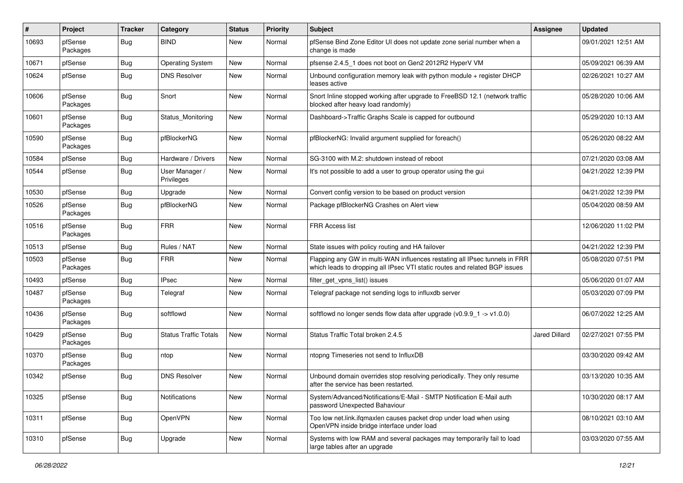| #     | Project             | <b>Tracker</b> | Category                     | <b>Status</b> | <b>Priority</b> | <b>Subject</b>                                                                                                                                           | <b>Assignee</b> | <b>Updated</b>      |
|-------|---------------------|----------------|------------------------------|---------------|-----------------|----------------------------------------------------------------------------------------------------------------------------------------------------------|-----------------|---------------------|
| 10693 | pfSense<br>Packages | Bug            | <b>BIND</b>                  | New           | Normal          | pfSense Bind Zone Editor UI does not update zone serial number when a<br>change is made                                                                  |                 | 09/01/2021 12:51 AM |
| 10671 | pfSense             | Bug            | <b>Operating System</b>      | New           | Normal          | pfsense 2.4.5_1 does not boot on Gen2 2012R2 HyperV VM                                                                                                   |                 | 05/09/2021 06:39 AM |
| 10624 | pfSense             | <b>Bug</b>     | <b>DNS Resolver</b>          | New           | Normal          | Unbound configuration memory leak with python module + register DHCP<br>leases active                                                                    |                 | 02/26/2021 10:27 AM |
| 10606 | pfSense<br>Packages | <b>Bug</b>     | Snort                        | <b>New</b>    | Normal          | Snort Inline stopped working after upgrade to FreeBSD 12.1 (network traffic<br>blocked after heavy load randomly)                                        |                 | 05/28/2020 10:06 AM |
| 10601 | pfSense<br>Packages | <b>Bug</b>     | Status Monitoring            | New           | Normal          | Dashboard->Traffic Graphs Scale is capped for outbound                                                                                                   |                 | 05/29/2020 10:13 AM |
| 10590 | pfSense<br>Packages | <b>Bug</b>     | pfBlockerNG                  | New           | Normal          | pfBlockerNG: Invalid argument supplied for foreach()                                                                                                     |                 | 05/26/2020 08:22 AM |
| 10584 | pfSense             | Bug            | Hardware / Drivers           | New           | Normal          | SG-3100 with M.2: shutdown instead of reboot                                                                                                             |                 | 07/21/2020 03:08 AM |
| 10544 | pfSense             | <b>Bug</b>     | User Manager /<br>Privileges | <b>New</b>    | Normal          | It's not possible to add a user to group operator using the gui                                                                                          |                 | 04/21/2022 12:39 PM |
| 10530 | pfSense             | Bug            | Upgrade                      | <b>New</b>    | Normal          | Convert config version to be based on product version                                                                                                    |                 | 04/21/2022 12:39 PM |
| 10526 | pfSense<br>Packages | <b>Bug</b>     | pfBlockerNG                  | New           | Normal          | Package pfBlockerNG Crashes on Alert view                                                                                                                |                 | 05/04/2020 08:59 AM |
| 10516 | pfSense<br>Packages | Bug            | <b>FRR</b>                   | New           | Normal          | <b>FRR Access list</b>                                                                                                                                   |                 | 12/06/2020 11:02 PM |
| 10513 | pfSense             | Bug            | Rules / NAT                  | New           | Normal          | State issues with policy routing and HA failover                                                                                                         |                 | 04/21/2022 12:39 PM |
| 10503 | pfSense<br>Packages | Bug            | <b>FRR</b>                   | New           | Normal          | Flapping any GW in multi-WAN influences restating all IPsec tunnels in FRR<br>which leads to dropping all IPsec VTI static routes and related BGP issues |                 | 05/08/2020 07:51 PM |
| 10493 | pfSense             | Bug            | <b>IPsec</b>                 | New           | Normal          | filter_get_vpns_list() issues                                                                                                                            |                 | 05/06/2020 01:07 AM |
| 10487 | pfSense<br>Packages | Bug            | Telegraf                     | New           | Normal          | Telegraf package not sending logs to influxdb server                                                                                                     |                 | 05/03/2020 07:09 PM |
| 10436 | pfSense<br>Packages | Bug            | softflowd                    | <b>New</b>    | Normal          | softflowd no longer sends flow data after upgrade $(v0.9.9 - 1 - v1.0.0)$                                                                                |                 | 06/07/2022 12:25 AM |
| 10429 | pfSense<br>Packages | Bug            | <b>Status Traffic Totals</b> | <b>New</b>    | Normal          | Status Traffic Total broken 2.4.5                                                                                                                        | Jared Dillard   | 02/27/2021 07:55 PM |
| 10370 | pfSense<br>Packages | <b>Bug</b>     | ntop                         | <b>New</b>    | Normal          | ntopng Timeseries not send to InfluxDB                                                                                                                   |                 | 03/30/2020 09:42 AM |
| 10342 | pfSense             | Bug            | <b>DNS Resolver</b>          | New           | Normal          | Unbound domain overrides stop resolving periodically. They only resume<br>after the service has been restarted.                                          |                 | 03/13/2020 10:35 AM |
| 10325 | pfSense             | Bug            | Notifications                | New           | Normal          | System/Advanced/Notifications/E-Mail - SMTP Notification E-Mail auth<br>password Unexpected Bahaviour                                                    |                 | 10/30/2020 08:17 AM |
| 10311 | pfSense             | Bug            | OpenVPN                      | New           | Normal          | Too low net.link.ifgmaxlen causes packet drop under load when using<br>OpenVPN inside bridge interface under load                                        |                 | 08/10/2021 03:10 AM |
| 10310 | pfSense             | Bug            | Upgrade                      | New           | Normal          | Systems with low RAM and several packages may temporarily fail to load<br>large tables after an upgrade                                                  |                 | 03/03/2020 07:55 AM |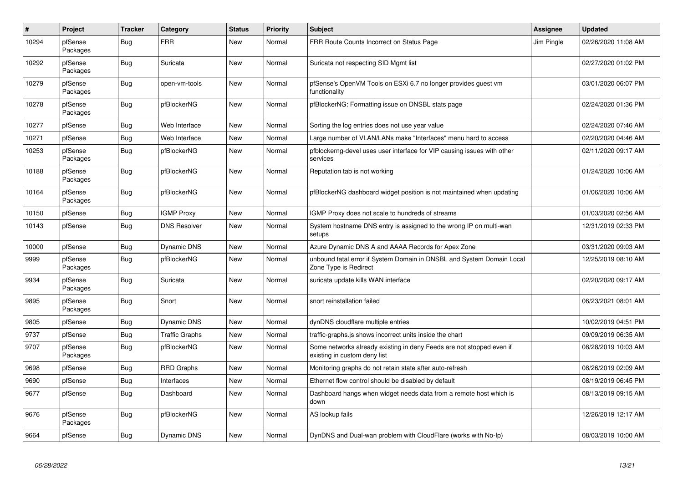| $\pmb{\#}$ | <b>Project</b>      | <b>Tracker</b> | Category              | <b>Status</b> | <b>Priority</b> | <b>Subject</b>                                                                                       | Assignee   | <b>Updated</b>      |
|------------|---------------------|----------------|-----------------------|---------------|-----------------|------------------------------------------------------------------------------------------------------|------------|---------------------|
| 10294      | pfSense<br>Packages | <b>Bug</b>     | <b>FRR</b>            | <b>New</b>    | Normal          | FRR Route Counts Incorrect on Status Page                                                            | Jim Pingle | 02/26/2020 11:08 AM |
| 10292      | pfSense<br>Packages | Bug            | Suricata              | <b>New</b>    | Normal          | Suricata not respecting SID Mgmt list                                                                |            | 02/27/2020 01:02 PM |
| 10279      | pfSense<br>Packages | Bug            | open-vm-tools         | <b>New</b>    | Normal          | pfSense's OpenVM Tools on ESXi 6.7 no longer provides guest vm<br>functionality                      |            | 03/01/2020 06:07 PM |
| 10278      | pfSense<br>Packages | Bug            | pfBlockerNG           | <b>New</b>    | Normal          | pfBlockerNG: Formatting issue on DNSBL stats page                                                    |            | 02/24/2020 01:36 PM |
| 10277      | pfSense             | Bug            | Web Interface         | <b>New</b>    | Normal          | Sorting the log entries does not use year value                                                      |            | 02/24/2020 07:46 AM |
| 10271      | pfSense             | Bug            | Web Interface         | <b>New</b>    | Normal          | Large number of VLAN/LANs make "Interfaces" menu hard to access                                      |            | 02/20/2020 04:46 AM |
| 10253      | pfSense<br>Packages | <b>Bug</b>     | pfBlockerNG           | <b>New</b>    | Normal          | pfblockerng-devel uses user interface for VIP causing issues with other<br>services                  |            | 02/11/2020 09:17 AM |
| 10188      | pfSense<br>Packages | <b>Bug</b>     | pfBlockerNG           | <b>New</b>    | Normal          | Reputation tab is not working                                                                        |            | 01/24/2020 10:06 AM |
| 10164      | pfSense<br>Packages | <b>Bug</b>     | pfBlockerNG           | <b>New</b>    | Normal          | pfBlockerNG dashboard widget position is not maintained when updating                                |            | 01/06/2020 10:06 AM |
| 10150      | pfSense             | Bug            | <b>IGMP Proxy</b>     | <b>New</b>    | Normal          | IGMP Proxy does not scale to hundreds of streams                                                     |            | 01/03/2020 02:56 AM |
| 10143      | pfSense             | Bug            | <b>DNS Resolver</b>   | <b>New</b>    | Normal          | System hostname DNS entry is assigned to the wrong IP on multi-wan<br>setups                         |            | 12/31/2019 02:33 PM |
| 10000      | pfSense             | <b>Bug</b>     | <b>Dynamic DNS</b>    | <b>New</b>    | Normal          | Azure Dynamic DNS A and AAAA Records for Apex Zone                                                   |            | 03/31/2020 09:03 AM |
| 9999       | pfSense<br>Packages | <b>Bug</b>     | pfBlockerNG           | <b>New</b>    | Normal          | unbound fatal error if System Domain in DNSBL and System Domain Local<br>Zone Type is Redirect       |            | 12/25/2019 08:10 AM |
| 9934       | pfSense<br>Packages | Bug            | Suricata              | <b>New</b>    | Normal          | suricata update kills WAN interface                                                                  |            | 02/20/2020 09:17 AM |
| 9895       | pfSense<br>Packages | <b>Bug</b>     | Snort                 | <b>New</b>    | Normal          | snort reinstallation failed                                                                          |            | 06/23/2021 08:01 AM |
| 9805       | pfSense             | Bug            | <b>Dynamic DNS</b>    | New           | Normal          | dynDNS cloudflare multiple entries                                                                   |            | 10/02/2019 04:51 PM |
| 9737       | pfSense             | Bug            | <b>Traffic Graphs</b> | New           | Normal          | traffic-graphs.js shows incorrect units inside the chart                                             |            | 09/09/2019 06:35 AM |
| 9707       | pfSense<br>Packages | Bug            | pfBlockerNG           | <b>New</b>    | Normal          | Some networks already existing in deny Feeds are not stopped even if<br>existing in custom deny list |            | 08/28/2019 10:03 AM |
| 9698       | pfSense             | Bug            | RRD Graphs            | <b>New</b>    | Normal          | Monitoring graphs do not retain state after auto-refresh                                             |            | 08/26/2019 02:09 AM |
| 9690       | pfSense             | <b>Bug</b>     | Interfaces            | <b>New</b>    | Normal          | Ethernet flow control should be disabled by default                                                  |            | 08/19/2019 06:45 PM |
| 9677       | pfSense             | <b>Bug</b>     | Dashboard             | <b>New</b>    | Normal          | Dashboard hangs when widget needs data from a remote host which is<br>down                           |            | 08/13/2019 09:15 AM |
| 9676       | pfSense<br>Packages | <b>Bug</b>     | pfBlockerNG           | New           | Normal          | AS lookup fails                                                                                      |            | 12/26/2019 12:17 AM |
| 9664       | pfSense             | Bug            | Dynamic DNS           | New           | Normal          | DynDNS and Dual-wan problem with CloudFlare (works with No-Ip)                                       |            | 08/03/2019 10:00 AM |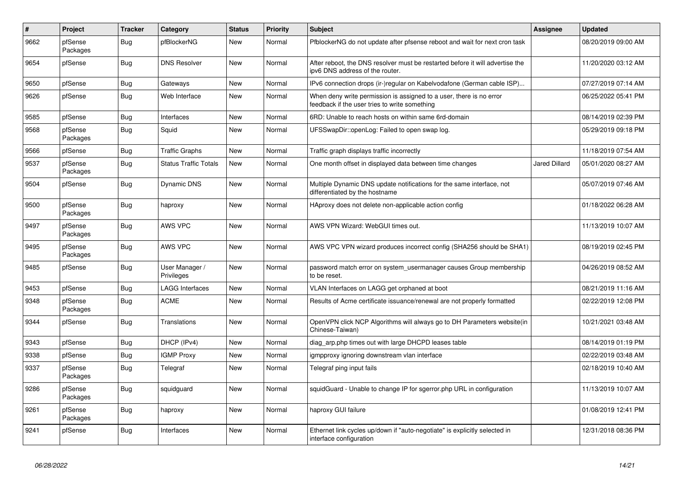| $\sharp$ | Project             | <b>Tracker</b> | Category                     | <b>Status</b> | <b>Priority</b> | <b>Subject</b>                                                                                                       | Assignee             | <b>Updated</b>      |
|----------|---------------------|----------------|------------------------------|---------------|-----------------|----------------------------------------------------------------------------------------------------------------------|----------------------|---------------------|
| 9662     | pfSense<br>Packages | Bug            | pfBlockerNG                  | <b>New</b>    | Normal          | PfblockerNG do not update after pfsense reboot and wait for next cron task                                           |                      | 08/20/2019 09:00 AM |
| 9654     | pfSense             | Bug            | <b>DNS Resolver</b>          | <b>New</b>    | Normal          | After reboot, the DNS resolver must be restarted before it will advertise the<br>ipv6 DNS address of the router.     |                      | 11/20/2020 03:12 AM |
| 9650     | pfSense             | <b>Bug</b>     | Gateways                     | <b>New</b>    | Normal          | IPv6 connection drops (ir-)regular on Kabelvodafone (German cable ISP)                                               |                      | 07/27/2019 07:14 AM |
| 9626     | pfSense             | <b>Bug</b>     | Web Interface                | <b>New</b>    | Normal          | When deny write permission is assigned to a user, there is no error<br>feedback if the user tries to write something |                      | 06/25/2022 05:41 PM |
| 9585     | pfSense             | <b>Bug</b>     | Interfaces                   | <b>New</b>    | Normal          | 6RD: Unable to reach hosts on within same 6rd-domain                                                                 |                      | 08/14/2019 02:39 PM |
| 9568     | pfSense<br>Packages | <b>Bug</b>     | Squid                        | <b>New</b>    | Normal          | UFSSwapDir::openLog: Failed to open swap log.                                                                        |                      | 05/29/2019 09:18 PM |
| 9566     | pfSense             | <b>Bug</b>     | <b>Traffic Graphs</b>        | <b>New</b>    | Normal          | Traffic graph displays traffic incorrectly                                                                           |                      | 11/18/2019 07:54 AM |
| 9537     | pfSense<br>Packages | Bug            | <b>Status Traffic Totals</b> | <b>New</b>    | Normal          | One month offset in displayed data between time changes                                                              | <b>Jared Dillard</b> | 05/01/2020 08:27 AM |
| 9504     | pfSense             | <b>Bug</b>     | <b>Dynamic DNS</b>           | <b>New</b>    | Normal          | Multiple Dynamic DNS update notifications for the same interface, not<br>differentiated by the hostname              |                      | 05/07/2019 07:46 AM |
| 9500     | pfSense<br>Packages | <b>Bug</b>     | haproxy                      | <b>New</b>    | Normal          | HAproxy does not delete non-applicable action config                                                                 |                      | 01/18/2022 06:28 AM |
| 9497     | pfSense<br>Packages | Bug            | AWS VPC                      | <b>New</b>    | Normal          | AWS VPN Wizard: WebGUI times out.                                                                                    |                      | 11/13/2019 10:07 AM |
| 9495     | pfSense<br>Packages | Bug            | <b>AWS VPC</b>               | <b>New</b>    | Normal          | AWS VPC VPN wizard produces incorrect config (SHA256 should be SHA1)                                                 |                      | 08/19/2019 02:45 PM |
| 9485     | pfSense             | <b>Bug</b>     | User Manager /<br>Privileges | <b>New</b>    | Normal          | password match error on system usermanager causes Group membership<br>to be reset.                                   |                      | 04/26/2019 08:52 AM |
| 9453     | pfSense             | Bug            | <b>LAGG Interfaces</b>       | New           | Normal          | VLAN Interfaces on LAGG get orphaned at boot                                                                         |                      | 08/21/2019 11:16 AM |
| 9348     | pfSense<br>Packages | Bug            | <b>ACME</b>                  | New           | Normal          | Results of Acme certificate issuance/renewal are not properly formatted                                              |                      | 02/22/2019 12:08 PM |
| 9344     | pfSense             | <b>Bug</b>     | <b>Translations</b>          | <b>New</b>    | Normal          | OpenVPN click NCP Algorithms will always go to DH Parameters website(in<br>Chinese-Taiwan)                           |                      | 10/21/2021 03:48 AM |
| 9343     | pfSense             | <b>Bug</b>     | DHCP (IPv4)                  | <b>New</b>    | Normal          | diag_arp.php times out with large DHCPD leases table                                                                 |                      | 08/14/2019 01:19 PM |
| 9338     | pfSense             | Bug            | <b>IGMP Proxy</b>            | <b>New</b>    | Normal          | igmpproxy ignoring downstream vlan interface                                                                         |                      | 02/22/2019 03:48 AM |
| 9337     | pfSense<br>Packages | <b>Bug</b>     | Telegraf                     | <b>New</b>    | Normal          | Telegraf ping input fails                                                                                            |                      | 02/18/2019 10:40 AM |
| 9286     | pfSense<br>Packages | Bug            | squidguard                   | <b>New</b>    | Normal          | squidGuard - Unable to change IP for sgerror.php URL in configuration                                                |                      | 11/13/2019 10:07 AM |
| 9261     | pfSense<br>Packages | <b>Bug</b>     | haproxy                      | New           | Normal          | haproxy GUI failure                                                                                                  |                      | 01/08/2019 12:41 PM |
| 9241     | pfSense             | <b>Bug</b>     | Interfaces                   | <b>New</b>    | Normal          | Ethernet link cycles up/down if "auto-negotiate" is explicitly selected in<br>interface configuration                |                      | 12/31/2018 08:36 PM |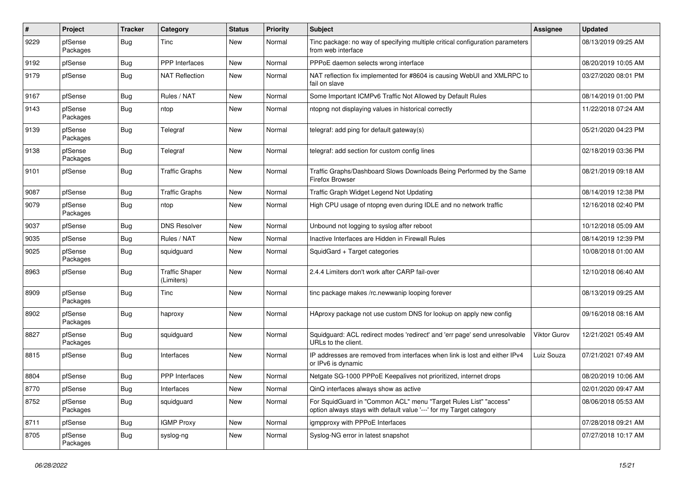| #    | Project             | <b>Tracker</b> | Category                            | <b>Status</b> | <b>Priority</b> | Subject                                                                                                                                 | Assignee            | <b>Updated</b>      |
|------|---------------------|----------------|-------------------------------------|---------------|-----------------|-----------------------------------------------------------------------------------------------------------------------------------------|---------------------|---------------------|
| 9229 | pfSense<br>Packages | Bug            | Tinc                                | New           | Normal          | Tinc package: no way of specifying multiple critical configuration parameters<br>from web interface                                     |                     | 08/13/2019 09:25 AM |
| 9192 | pfSense             | Bug            | PPP Interfaces                      | New           | Normal          | PPPoE daemon selects wrong interface                                                                                                    |                     | 08/20/2019 10:05 AM |
| 9179 | pfSense             | <b>Bug</b>     | <b>NAT Reflection</b>               | New           | Normal          | NAT reflection fix implemented for #8604 is causing WebUI and XMLRPC to<br>fail on slave                                                |                     | 03/27/2020 08:01 PM |
| 9167 | pfSense             | <b>Bug</b>     | Rules / NAT                         | New           | Normal          | Some Important ICMPv6 Traffic Not Allowed by Default Rules                                                                              |                     | 08/14/2019 01:00 PM |
| 9143 | pfSense<br>Packages | Bug            | ntop                                | New           | Normal          | ntopng not displaying values in historical correctly                                                                                    |                     | 11/22/2018 07:24 AM |
| 9139 | pfSense<br>Packages | <b>Bug</b>     | Telegraf                            | New           | Normal          | telegraf: add ping for default gateway(s)                                                                                               |                     | 05/21/2020 04:23 PM |
| 9138 | pfSense<br>Packages | Bug            | Telegraf                            | New           | Normal          | telegraf: add section for custom config lines                                                                                           |                     | 02/18/2019 03:36 PM |
| 9101 | pfSense             | <b>Bug</b>     | <b>Traffic Graphs</b>               | New           | Normal          | Traffic Graphs/Dashboard Slows Downloads Being Performed by the Same<br>Firefox Browser                                                 |                     | 08/21/2019 09:18 AM |
| 9087 | pfSense             | Bug            | <b>Traffic Graphs</b>               | New           | Normal          | Traffic Graph Widget Legend Not Updating                                                                                                |                     | 08/14/2019 12:38 PM |
| 9079 | pfSense<br>Packages | Bug            | ntop                                | New           | Normal          | High CPU usage of ntopng even during IDLE and no network traffic                                                                        |                     | 12/16/2018 02:40 PM |
| 9037 | pfSense             | <b>Bug</b>     | <b>DNS Resolver</b>                 | New           | Normal          | Unbound not logging to syslog after reboot                                                                                              |                     | 10/12/2018 05:09 AM |
| 9035 | pfSense             | Bug            | Rules / NAT                         | New           | Normal          | Inactive Interfaces are Hidden in Firewall Rules                                                                                        |                     | 08/14/2019 12:39 PM |
| 9025 | pfSense<br>Packages | Bug            | squidguard                          | New           | Normal          | SquidGard + Target categories                                                                                                           |                     | 10/08/2018 01:00 AM |
| 8963 | pfSense             | Bug            | <b>Traffic Shaper</b><br>(Limiters) | New           | Normal          | 2.4.4 Limiters don't work after CARP fail-over                                                                                          |                     | 12/10/2018 06:40 AM |
| 8909 | pfSense<br>Packages | Bug            | Tinc                                | New           | Normal          | tinc package makes /rc.newwanip looping forever                                                                                         |                     | 08/13/2019 09:25 AM |
| 8902 | pfSense<br>Packages | <b>Bug</b>     | haproxy                             | New           | Normal          | HAproxy package not use custom DNS for lookup on apply new config                                                                       |                     | 09/16/2018 08:16 AM |
| 8827 | pfSense<br>Packages | <b>Bug</b>     | squidguard                          | New           | Normal          | Squidguard: ACL redirect modes 'redirect' and 'err page' send unresolvable<br>URLs to the client.                                       | <b>Viktor Gurov</b> | 12/21/2021 05:49 AM |
| 8815 | pfSense             | Bug            | Interfaces                          | New           | Normal          | IP addresses are removed from interfaces when link is lost and either IPv4<br>or IPv6 is dynamic                                        | Luiz Souza          | 07/21/2021 07:49 AM |
| 8804 | pfSense             | <b>Bug</b>     | PPP Interfaces                      | New           | Normal          | Netgate SG-1000 PPPoE Keepalives not prioritized, internet drops                                                                        |                     | 08/20/2019 10:06 AM |
| 8770 | pfSense             | Bug            | Interfaces                          | New           | Normal          | QinQ interfaces always show as active                                                                                                   |                     | 02/01/2020 09:47 AM |
| 8752 | pfSense<br>Packages | <b>Bug</b>     | squidguard                          | New           | Normal          | For SquidGuard in "Common ACL" menu "Target Rules List" "access"<br>option always stays with default value '---' for my Target category |                     | 08/06/2018 05:53 AM |
| 8711 | pfSense             | Bug            | <b>IGMP Proxy</b>                   | New           | Normal          | igmpproxy with PPPoE Interfaces                                                                                                         |                     | 07/28/2018 09:21 AM |
| 8705 | pfSense<br>Packages | <b>Bug</b>     | syslog-ng                           | New           | Normal          | Syslog-NG error in latest snapshot                                                                                                      |                     | 07/27/2018 10:17 AM |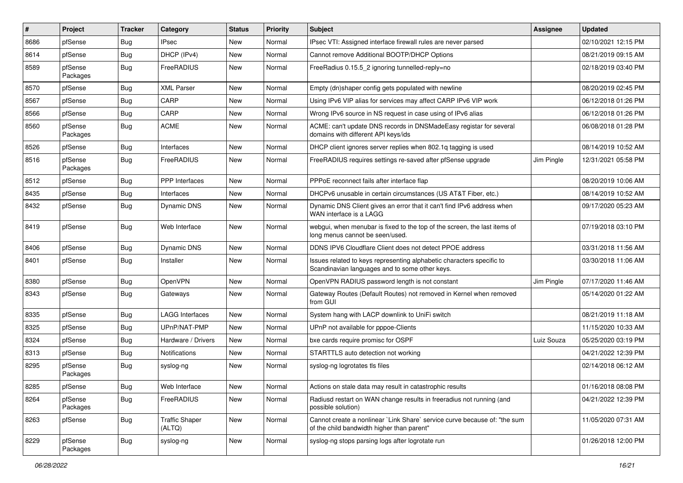| #    | Project             | <b>Tracker</b> | Category                        | <b>Status</b> | <b>Priority</b> | <b>Subject</b>                                                                                                          | <b>Assignee</b> | <b>Updated</b>      |
|------|---------------------|----------------|---------------------------------|---------------|-----------------|-------------------------------------------------------------------------------------------------------------------------|-----------------|---------------------|
| 8686 | pfSense             | Bug            | IPsec                           | New           | Normal          | IPsec VTI: Assigned interface firewall rules are never parsed                                                           |                 | 02/10/2021 12:15 PM |
| 8614 | pfSense             | Bug            | DHCP (IPv4)                     | New           | Normal          | Cannot remove Additional BOOTP/DHCP Options                                                                             |                 | 08/21/2019 09:15 AM |
| 8589 | pfSense<br>Packages | Bug            | FreeRADIUS                      | New           | Normal          | FreeRadius 0.15.5_2 ignoring tunnelled-reply=no                                                                         |                 | 02/18/2019 03:40 PM |
| 8570 | pfSense             | <b>Bug</b>     | <b>XML Parser</b>               | New           | Normal          | Empty (dn)shaper config gets populated with newline                                                                     |                 | 08/20/2019 02:45 PM |
| 8567 | pfSense             | Bug            | CARP                            | New           | Normal          | Using IPv6 VIP alias for services may affect CARP IPv6 VIP work                                                         |                 | 06/12/2018 01:26 PM |
| 8566 | pfSense             | Bug            | CARP                            | New           | Normal          | Wrong IPv6 source in NS request in case using of IPv6 alias                                                             |                 | 06/12/2018 01:26 PM |
| 8560 | pfSense<br>Packages | Bug            | <b>ACME</b>                     | <b>New</b>    | Normal          | ACME: can't update DNS records in DNSMadeEasy registar for several<br>domains with different API keys/ids               |                 | 06/08/2018 01:28 PM |
| 8526 | pfSense             | Bug            | Interfaces                      | New           | Normal          | DHCP client ignores server replies when 802.1q tagging is used                                                          |                 | 08/14/2019 10:52 AM |
| 8516 | pfSense<br>Packages | Bug            | FreeRADIUS                      | New           | Normal          | FreeRADIUS requires settings re-saved after pfSense upgrade                                                             | Jim Pingle      | 12/31/2021 05:58 PM |
| 8512 | pfSense             | Bug            | PPP Interfaces                  | New           | Normal          | PPPoE reconnect fails after interface flap                                                                              |                 | 08/20/2019 10:06 AM |
| 8435 | pfSense             | Bug            | Interfaces                      | New           | Normal          | DHCPv6 unusable in certain circumstances (US AT&T Fiber, etc.)                                                          |                 | 08/14/2019 10:52 AM |
| 8432 | pfSense             | Bug            | Dynamic DNS                     | New           | Normal          | Dynamic DNS Client gives an error that it can't find IPv6 address when<br>WAN interface is a LAGG                       |                 | 09/17/2020 05:23 AM |
| 8419 | pfSense             | Bug            | Web Interface                   | New           | Normal          | webgui, when menubar is fixed to the top of the screen, the last items of<br>long menus cannot be seen/used.            |                 | 07/19/2018 03:10 PM |
| 8406 | pfSense             | Bug            | Dynamic DNS                     | <b>New</b>    | Normal          | DDNS IPV6 Cloudflare Client does not detect PPOE address                                                                |                 | 03/31/2018 11:56 AM |
| 8401 | pfSense             | Bug            | Installer                       | New           | Normal          | Issues related to keys representing alphabetic characters specific to<br>Scandinavian languages and to some other keys. |                 | 03/30/2018 11:06 AM |
| 8380 | pfSense             | Bug            | OpenVPN                         | New           | Normal          | OpenVPN RADIUS password length is not constant                                                                          | Jim Pingle      | 07/17/2020 11:46 AM |
| 8343 | pfSense             | Bug            | Gateways                        | New           | Normal          | Gateway Routes (Default Routes) not removed in Kernel when removed<br>from GUI                                          |                 | 05/14/2020 01:22 AM |
| 8335 | pfSense             | Bug            | <b>LAGG Interfaces</b>          | New           | Normal          | System hang with LACP downlink to UniFi switch                                                                          |                 | 08/21/2019 11:18 AM |
| 8325 | pfSense             | Bug            | UPnP/NAT-PMP                    | New           | Normal          | UPnP not available for pppoe-Clients                                                                                    |                 | 11/15/2020 10:33 AM |
| 8324 | pfSense             | Bug            | Hardware / Drivers              | <b>New</b>    | Normal          | bxe cards require promisc for OSPF                                                                                      | Luiz Souza      | 05/25/2020 03:19 PM |
| 8313 | pfSense             | Bug            | Notifications                   | New           | Normal          | STARTTLS auto detection not working                                                                                     |                 | 04/21/2022 12:39 PM |
| 8295 | pfSense<br>Packages | <b>Bug</b>     | syslog-ng                       | New           | Normal          | syslog-ng logrotates tls files                                                                                          |                 | 02/14/2018 06:12 AM |
| 8285 | pfSense             | <b>Bug</b>     | Web Interface                   | New           | Normal          | Actions on stale data may result in catastrophic results                                                                |                 | 01/16/2018 08:08 PM |
| 8264 | pfSense<br>Packages | <b>Bug</b>     | FreeRADIUS                      | New           | Normal          | Radiusd restart on WAN change results in freeradius not running (and<br>possible solution)                              |                 | 04/21/2022 12:39 PM |
| 8263 | pfSense             | Bug            | <b>Traffic Shaper</b><br>(ALTQ) | New           | Normal          | Cannot create a nonlinear `Link Share` service curve because of: "the sum<br>of the child bandwidth higher than parent" |                 | 11/05/2020 07:31 AM |
| 8229 | pfSense<br>Packages | <b>Bug</b>     | syslog-ng                       | New           | Normal          | syslog-ng stops parsing logs after logrotate run                                                                        |                 | 01/26/2018 12:00 PM |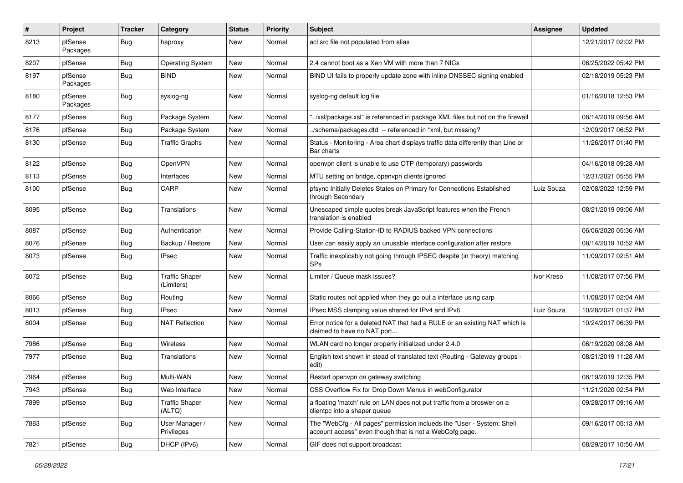| $\vert$ # | <b>Project</b>      | <b>Tracker</b> | Category                            | <b>Status</b> | <b>Priority</b> | <b>Subject</b>                                                                                                                    | Assignee   | <b>Updated</b>      |
|-----------|---------------------|----------------|-------------------------------------|---------------|-----------------|-----------------------------------------------------------------------------------------------------------------------------------|------------|---------------------|
| 8213      | pfSense<br>Packages | Bug            | haproxy                             | New           | Normal          | acl src file not populated from alias                                                                                             |            | 12/21/2017 02:02 PM |
| 8207      | pfSense             | Bug            | <b>Operating System</b>             | New           | Normal          | 2.4 cannot boot as a Xen VM with more than 7 NICs                                                                                 |            | 06/25/2022 05:42 PM |
| 8197      | pfSense<br>Packages | <b>Bug</b>     | <b>BIND</b>                         | New           | Normal          | BIND UI fails to properly update zone with inline DNSSEC signing enabled                                                          |            | 02/18/2019 05:23 PM |
| 8180      | pfSense<br>Packages | <b>Bug</b>     | syslog-ng                           | New           | Normal          | syslog-ng default log file                                                                                                        |            | 01/16/2018 12:53 PM |
| 8177      | pfSense             | Bug            | Package System                      | New           | Normal          | "/xsl/package.xsl" is referenced in package XML files but not on the firewall                                                     |            | 08/14/2019 09:56 AM |
| 8176      | pfSense             | Bug            | Package System                      | New           | Normal          | ./schema/packages.dtd -- referenced in *xml, but missing?                                                                         |            | 12/09/2017 06:52 PM |
| 8130      | pfSense             | Bug            | <b>Traffic Graphs</b>               | New           | Normal          | Status - Monitoring - Area chart displays traffic data differently than Line or<br>Bar charts                                     |            | 11/26/2017 01:40 PM |
| 8122      | pfSense             | Bug            | OpenVPN                             | <b>New</b>    | Normal          | openvpn client is unable to use OTP (temporary) passwords                                                                         |            | 04/16/2018 09:28 AM |
| 8113      | pfSense             | Bug            | Interfaces                          | New           | Normal          | MTU setting on bridge, openvpn clients ignored                                                                                    |            | 12/31/2021 05:55 PM |
| 8100      | pfSense             | <b>Bug</b>     | CARP                                | New           | Normal          | pfsync Initially Deletes States on Primary for Connections Established<br>through Secondary                                       | Luiz Souza | 02/08/2022 12:59 PM |
| 8095      | pfSense             | Bug            | Translations                        | <b>New</b>    | Normal          | Unescaped simple quotes break JavaScript features when the French<br>translation is enabled                                       |            | 08/21/2019 09:06 AM |
| 8087      | pfSense             | Bug            | Authentication                      | New           | Normal          | Provide Calling-Station-ID to RADIUS backed VPN connections                                                                       |            | 06/06/2020 05:36 AM |
| 8076      | pfSense             | Bug            | Backup / Restore                    | New           | Normal          | User can easily apply an unusable interface configuration after restore                                                           |            | 08/14/2019 10:52 AM |
| 8073      | pfSense             | <b>Bug</b>     | IPsec                               | New           | Normal          | Traffic inexplicably not going through IPSEC despite (in theory) matching<br><b>SPs</b>                                           |            | 11/09/2017 02:51 AM |
| 8072      | pfSense             | Bug            | <b>Traffic Shaper</b><br>(Limiters) | New           | Normal          | Limiter / Queue mask issues?                                                                                                      | Ivor Kreso | 11/08/2017 07:56 PM |
| 8066      | pfSense             | Bug            | Routing                             | New           | Normal          | Static routes not applied when they go out a interface using carp                                                                 |            | 11/08/2017 02:04 AM |
| 8013      | pfSense             | <b>Bug</b>     | IPsec                               | New           | Normal          | IPsec MSS clamping value shared for IPv4 and IPv6                                                                                 | Luiz Souza | 10/28/2021 01:37 PM |
| 8004      | pfSense             | Bug            | <b>NAT Reflection</b>               | New           | Normal          | Error notice for a deleted NAT that had a RULE or an existing NAT which is<br>claimed to have no NAT port                         |            | 10/24/2017 06:39 PM |
| 7986      | pfSense             | Bug            | Wireless                            | New           | Normal          | WLAN card no longer properly initialized under 2.4.0                                                                              |            | 06/19/2020 08:08 AM |
| 7977      | pfSense             | Bug            | Translations                        | New           | Normal          | English text shown in stead of translated text (Routing - Gateway groups -<br>edit)                                               |            | 08/21/2019 11:28 AM |
| 7964      | pfSense             | Bug            | Multi-WAN                           | New           | Normal          | Restart openvpn on gateway switching                                                                                              |            | 08/19/2019 12:35 PM |
| 7943      | pfSense             | Bug            | Web Interface                       | New           | Normal          | CSS Overflow Fix for Drop Down Menus in webConfigurator                                                                           |            | 11/21/2020 02:54 PM |
| 7899      | pfSense             | <b>Bug</b>     | <b>Traffic Shaper</b><br>(ALTQ)     | New           | Normal          | a floating 'match' rule on LAN does not put traffic from a broswer on a<br>clientpc into a shaper queue                           |            | 09/28/2017 09:16 AM |
| 7863      | pfSense             | <b>Bug</b>     | User Manager /<br>Privileges        | New           | Normal          | The "WebCfg - All pages" permission inclueds the "User - System: Shell<br>account access" even though that is not a WebCofg page. |            | 09/16/2017 05:13 AM |
| 7821      | pfSense             | <b>Bug</b>     | DHCP (IPv6)                         | New           | Normal          | GIF does not support broadcast                                                                                                    |            | 08/29/2017 10:50 AM |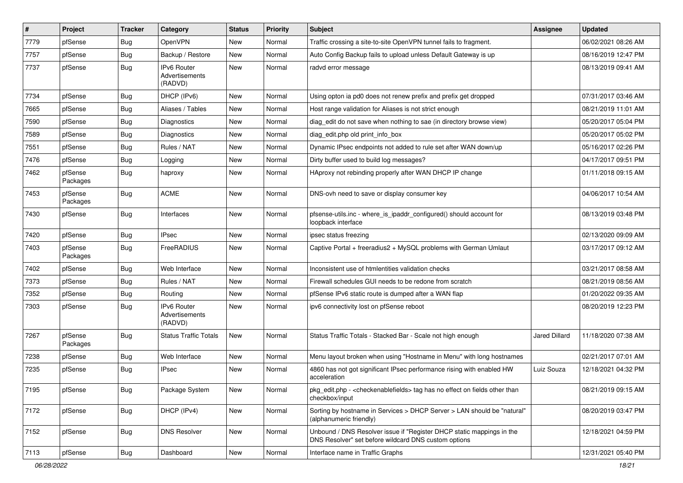| $\pmb{\#}$ | Project             | <b>Tracker</b> | Category                                        | <b>Status</b> | <b>Priority</b> | <b>Subject</b>                                                                                                                | Assignee      | <b>Updated</b>      |
|------------|---------------------|----------------|-------------------------------------------------|---------------|-----------------|-------------------------------------------------------------------------------------------------------------------------------|---------------|---------------------|
| 7779       | pfSense             | <b>Bug</b>     | OpenVPN                                         | New           | Normal          | Traffic crossing a site-to-site OpenVPN tunnel fails to fragment.                                                             |               | 06/02/2021 08:26 AM |
| 7757       | pfSense             | Bug            | Backup / Restore                                | New           | Normal          | Auto Config Backup fails to upload unless Default Gateway is up                                                               |               | 08/16/2019 12:47 PM |
| 7737       | pfSense             | Bug            | <b>IPv6 Router</b><br>Advertisements<br>(RADVD) | New           | Normal          | radvd error message                                                                                                           |               | 08/13/2019 09:41 AM |
| 7734       | pfSense             | Bug            | DHCP (IPv6)                                     | New           | Normal          | Using opton ia pd0 does not renew prefix and prefix get dropped                                                               |               | 07/31/2017 03:46 AM |
| 7665       | pfSense             | Bug            | Aliases / Tables                                | New           | Normal          | Host range validation for Aliases is not strict enough                                                                        |               | 08/21/2019 11:01 AM |
| 7590       | pfSense             | Bug            | Diagnostics                                     | New           | Normal          | diag_edit do not save when nothing to sae (in directory browse view)                                                          |               | 05/20/2017 05:04 PM |
| 7589       | pfSense             | <b>Bug</b>     | Diagnostics                                     | New           | Normal          | diag edit.php old print info box                                                                                              |               | 05/20/2017 05:02 PM |
| 7551       | pfSense             | Bug            | Rules / NAT                                     | New           | Normal          | Dynamic IPsec endpoints not added to rule set after WAN down/up                                                               |               | 05/16/2017 02:26 PM |
| 7476       | pfSense             | Bug            | Logging                                         | New           | Normal          | Dirty buffer used to build log messages?                                                                                      |               | 04/17/2017 09:51 PM |
| 7462       | pfSense<br>Packages | Bug            | haproxy                                         | New           | Normal          | HAproxy not rebinding properly after WAN DHCP IP change                                                                       |               | 01/11/2018 09:15 AM |
| 7453       | pfSense<br>Packages | Bug            | <b>ACME</b>                                     | New           | Normal          | DNS-ovh need to save or display consumer key                                                                                  |               | 04/06/2017 10:54 AM |
| 7430       | pfSense             | Bug            | Interfaces                                      | New           | Normal          | pfsense-utils.inc - where_is_ipaddr_configured() should account for<br>loopback interface                                     |               | 08/13/2019 03:48 PM |
| 7420       | pfSense             | <b>Bug</b>     | <b>IPsec</b>                                    | New           | Normal          | ipsec status freezing                                                                                                         |               | 02/13/2020 09:09 AM |
| 7403       | pfSense<br>Packages | Bug            | FreeRADIUS                                      | New           | Normal          | Captive Portal + freeradius2 + MySQL problems with German Umlaut                                                              |               | 03/17/2017 09:12 AM |
| 7402       | pfSense             | <b>Bug</b>     | Web Interface                                   | <b>New</b>    | Normal          | Inconsistent use of htmlentities validation checks                                                                            |               | 03/21/2017 08:58 AM |
| 7373       | pfSense             | Bug            | Rules / NAT                                     | New           | Normal          | Firewall schedules GUI needs to be redone from scratch                                                                        |               | 08/21/2019 08:56 AM |
| 7352       | pfSense             | <b>Bug</b>     | Routing                                         | New           | Normal          | pfSense IPv6 static route is dumped after a WAN flap                                                                          |               | 01/20/2022 09:35 AM |
| 7303       | pfSense             | Bug            | <b>IPv6 Router</b><br>Advertisements<br>(RADVD) | New           | Normal          | ipv6 connectivity lost on pfSense reboot                                                                                      |               | 08/20/2019 12:23 PM |
| 7267       | pfSense<br>Packages | Bug            | <b>Status Traffic Totals</b>                    | New           | Normal          | Status Traffic Totals - Stacked Bar - Scale not high enough                                                                   | Jared Dillard | 11/18/2020 07:38 AM |
| 7238       | pfSense             | Bug            | Web Interface                                   | New           | Normal          | Menu layout broken when using "Hostname in Menu" with long hostnames                                                          |               | 02/21/2017 07:01 AM |
| 7235       | pfSense             | Bug            | <b>IPsec</b>                                    | New           | Normal          | 4860 has not got significant IPsec performance rising with enabled HW<br>acceleration                                         | Luiz Souza    | 12/18/2021 04:32 PM |
| 7195       | pfSense             | <b>Bug</b>     | Package System                                  | New           | Normal          | pkg edit.php - <checkenable fields=""> tag has no effect on fields other than<br/>checkbox/input</checkenable>                |               | 08/21/2019 09:15 AM |
| 7172       | pfSense             | <b>Bug</b>     | DHCP (IPv4)                                     | New           | Normal          | Sorting by hostname in Services > DHCP Server > LAN should be "natural"<br>(alphanumeric friendly)                            |               | 08/20/2019 03:47 PM |
| 7152       | pfSense             | Bug            | <b>DNS Resolver</b>                             | New           | Normal          | Unbound / DNS Resolver issue if "Register DHCP static mappings in the<br>DNS Resolver" set before wildcard DNS custom options |               | 12/18/2021 04:59 PM |
| 7113       | pfSense             | Bug            | Dashboard                                       | New           | Normal          | Interface name in Traffic Graphs                                                                                              |               | 12/31/2021 05:40 PM |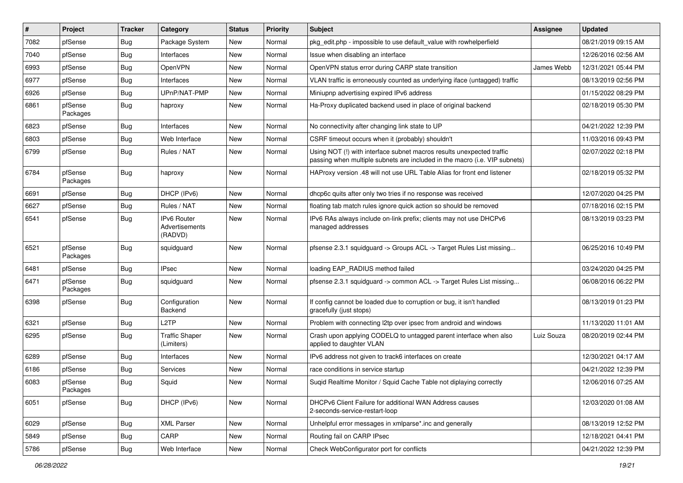| $\vert$ # | Project             | <b>Tracker</b> | Category                                        | <b>Status</b> | <b>Priority</b> | <b>Subject</b>                                                                                                                                      | <b>Assignee</b> | <b>Updated</b>      |
|-----------|---------------------|----------------|-------------------------------------------------|---------------|-----------------|-----------------------------------------------------------------------------------------------------------------------------------------------------|-----------------|---------------------|
| 7082      | pfSense             | Bug            | Package System                                  | New           | Normal          | pkg edit.php - impossible to use default value with rowhelperfield                                                                                  |                 | 08/21/2019 09:15 AM |
| 7040      | pfSense             | Bug            | Interfaces                                      | New           | Normal          | Issue when disabling an interface                                                                                                                   |                 | 12/26/2016 02:56 AM |
| 6993      | pfSense             | Bug            | OpenVPN                                         | New           | Normal          | OpenVPN status error during CARP state transition                                                                                                   | James Webb      | 12/31/2021 05:44 PM |
| 6977      | pfSense             | <b>Bug</b>     | Interfaces                                      | New           | Normal          | VLAN traffic is erroneously counted as underlying iface (untagged) traffic                                                                          |                 | 08/13/2019 02:56 PM |
| 6926      | pfSense             | Bug            | UPnP/NAT-PMP                                    | New           | Normal          | Miniupnp advertising expired IPv6 address                                                                                                           |                 | 01/15/2022 08:29 PM |
| 6861      | pfSense<br>Packages | Bug            | haproxy                                         | New           | Normal          | Ha-Proxy duplicated backend used in place of original backend                                                                                       |                 | 02/18/2019 05:30 PM |
| 6823      | pfSense             | Bug            | Interfaces                                      | New           | Normal          | No connectivity after changing link state to UP                                                                                                     |                 | 04/21/2022 12:39 PM |
| 6803      | pfSense             | Bug            | Web Interface                                   | New           | Normal          | CSRF timeout occurs when it (probably) shouldn't                                                                                                    |                 | 11/03/2016 09:43 PM |
| 6799      | pfSense             | <b>Bug</b>     | Rules / NAT                                     | New           | Normal          | Using NOT (!) with interface subnet macros results unexpected traffic<br>passing when multiple subnets are included in the macro (i.e. VIP subnets) |                 | 02/07/2022 02:18 PM |
| 6784      | pfSense<br>Packages | Bug            | haproxy                                         | <b>New</b>    | Normal          | HAProxy version .48 will not use URL Table Alias for front end listener                                                                             |                 | 02/18/2019 05:32 PM |
| 6691      | pfSense             | Bug            | DHCP (IPv6)                                     | New           | Normal          | dhcp6c quits after only two tries if no response was received                                                                                       |                 | 12/07/2020 04:25 PM |
| 6627      | pfSense             | <b>Bug</b>     | Rules / NAT                                     | New           | Normal          | floating tab match rules ignore quick action so should be removed                                                                                   |                 | 07/18/2016 02:15 PM |
| 6541      | pfSense             | Bug            | <b>IPv6 Router</b><br>Advertisements<br>(RADVD) | New           | Normal          | IPv6 RAs always include on-link prefix; clients may not use DHCPv6<br>managed addresses                                                             |                 | 08/13/2019 03:23 PM |
| 6521      | pfSense<br>Packages | Bug            | squidguard                                      | New           | Normal          | pfsense 2.3.1 squidguard -> Groups ACL -> Target Rules List missing                                                                                 |                 | 06/25/2016 10:49 PM |
| 6481      | pfSense             | <b>Bug</b>     | <b>IPsec</b>                                    | <b>New</b>    | Normal          | loading EAP_RADIUS method failed                                                                                                                    |                 | 03/24/2020 04:25 PM |
| 6471      | pfSense<br>Packages | Bug            | squidguard                                      | New           | Normal          | pfsense 2.3.1 squidguard -> common ACL -> Target Rules List missing                                                                                 |                 | 06/08/2016 06:22 PM |
| 6398      | pfSense             | <b>Bug</b>     | Configuration<br>Backend                        | New           | Normal          | If config cannot be loaded due to corruption or bug, it isn't handled<br>gracefully (just stops)                                                    |                 | 08/13/2019 01:23 PM |
| 6321      | pfSense             | <b>Bug</b>     | L <sub>2</sub> TP                               | New           | Normal          | Problem with connecting I2tp over ipsec from android and windows                                                                                    |                 | 11/13/2020 11:01 AM |
| 6295      | pfSense             | <b>Bug</b>     | <b>Traffic Shaper</b><br>(Limiters)             | New           | Normal          | Crash upon applying CODELQ to untagged parent interface when also<br>applied to daughter VLAN                                                       | Luiz Souza      | 08/20/2019 02:44 PM |
| 6289      | pfSense             | Bug            | Interfaces                                      | <b>New</b>    | Normal          | IPv6 address not given to track6 interfaces on create                                                                                               |                 | 12/30/2021 04:17 AM |
| 6186      | pfSense             | <b>Bug</b>     | Services                                        | New           | Normal          | race conditions in service startup                                                                                                                  |                 | 04/21/2022 12:39 PM |
| 6083      | pfSense<br>Packages | <b>Bug</b>     | Squid                                           | New           | Normal          | Suqid Realtime Monitor / Squid Cache Table not diplaying correctly                                                                                  |                 | 12/06/2016 07:25 AM |
| 6051      | pfSense             | <b>Bug</b>     | DHCP (IPv6)                                     | New           | Normal          | DHCPv6 Client Failure for additional WAN Address causes<br>2-seconds-service-restart-loop                                                           |                 | 12/03/2020 01:08 AM |
| 6029      | pfSense             | Bug            | <b>XML Parser</b>                               | New           | Normal          | Unhelpful error messages in xmlparse*.inc and generally                                                                                             |                 | 08/13/2019 12:52 PM |
| 5849      | pfSense             | Bug            | CARP                                            | New           | Normal          | Routing fail on CARP IPsec                                                                                                                          |                 | 12/18/2021 04:41 PM |
| 5786      | pfSense             | Bug            | Web Interface                                   | New           | Normal          | Check WebConfigurator port for conflicts                                                                                                            |                 | 04/21/2022 12:39 PM |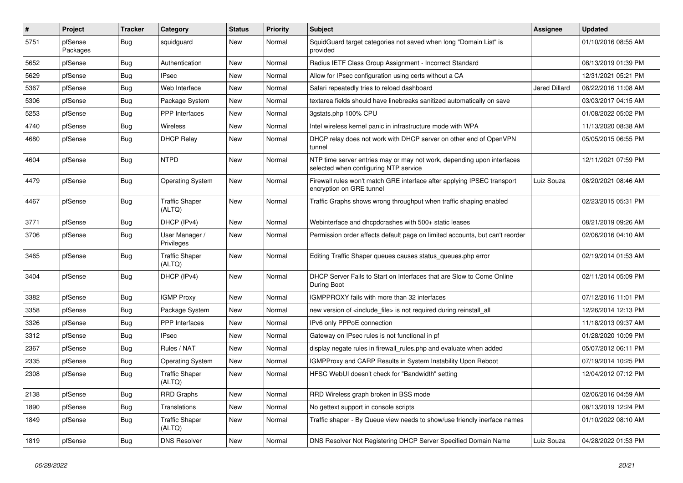| #    | Project             | <b>Tracker</b> | Category                        | <b>Status</b> | <b>Priority</b> | <b>Subject</b>                                                                                                  | Assignee             | <b>Updated</b>      |
|------|---------------------|----------------|---------------------------------|---------------|-----------------|-----------------------------------------------------------------------------------------------------------------|----------------------|---------------------|
| 5751 | pfSense<br>Packages | Bug            | squidguard                      | New           | Normal          | SquidGuard target categories not saved when long "Domain List" is<br>provided                                   |                      | 01/10/2016 08:55 AM |
| 5652 | pfSense             | Bug            | Authentication                  | New           | Normal          | Radius IETF Class Group Assignment - Incorrect Standard                                                         |                      | 08/13/2019 01:39 PM |
| 5629 | pfSense             | <b>Bug</b>     | <b>IPsec</b>                    | New           | Normal          | Allow for IPsec configuration using certs without a CA                                                          |                      | 12/31/2021 05:21 PM |
| 5367 | pfSense             | Bug            | Web Interface                   | New           | Normal          | Safari repeatedly tries to reload dashboard                                                                     | <b>Jared Dillard</b> | 08/22/2016 11:08 AM |
| 5306 | pfSense             | <b>Bug</b>     | Package System                  | New           | Normal          | textarea fields should have linebreaks sanitized automatically on save                                          |                      | 03/03/2017 04:15 AM |
| 5253 | pfSense             | Bug            | <b>PPP</b> Interfaces           | New           | Normal          | 3qstats.php 100% CPU                                                                                            |                      | 01/08/2022 05:02 PM |
| 4740 | pfSense             | <b>Bug</b>     | <b>Wireless</b>                 | New           | Normal          | Intel wireless kernel panic in infrastructure mode with WPA                                                     |                      | 11/13/2020 08:38 AM |
| 4680 | pfSense             | Bug            | <b>DHCP Relay</b>               | New           | Normal          | DHCP relay does not work with DHCP server on other end of OpenVPN<br>tunnel                                     |                      | 05/05/2015 06:55 PM |
| 4604 | pfSense             | Bug            | <b>NTPD</b>                     | New           | Normal          | NTP time server entries may or may not work, depending upon interfaces<br>selected when configuring NTP service |                      | 12/11/2021 07:59 PM |
| 4479 | pfSense             | Bug            | <b>Operating System</b>         | New           | Normal          | Firewall rules won't match GRE interface after applying IPSEC transport<br>encryption on GRE tunnel             | Luiz Souza           | 08/20/2021 08:46 AM |
| 4467 | pfSense             | Bug            | <b>Traffic Shaper</b><br>(ALTQ) | New           | Normal          | Traffic Graphs shows wrong throughput when traffic shaping enabled                                              |                      | 02/23/2015 05:31 PM |
| 3771 | pfSense             | Bug            | DHCP (IPv4)                     | New           | Normal          | Webinterface and dhcpdcrashes with 500+ static leases                                                           |                      | 08/21/2019 09:26 AM |
| 3706 | pfSense             | Bug            | User Manager /<br>Privileges    | New           | Normal          | Permission order affects default page on limited accounts, but can't reorder                                    |                      | 02/06/2016 04:10 AM |
| 3465 | pfSense             | Bug            | <b>Traffic Shaper</b><br>(ALTQ) | New           | Normal          | Editing Traffic Shaper queues causes status_queues.php error                                                    |                      | 02/19/2014 01:53 AM |
| 3404 | pfSense             | Bug            | DHCP (IPv4)                     | New           | Normal          | DHCP Server Fails to Start on Interfaces that are Slow to Come Online<br>During Boot                            |                      | 02/11/2014 05:09 PM |
| 3382 | pfSense             | Bug            | <b>IGMP Proxy</b>               | New           | Normal          | IGMPPROXY fails with more than 32 interfaces                                                                    |                      | 07/12/2016 11:01 PM |
| 3358 | pfSense             | <b>Bug</b>     | Package System                  | New           | Normal          | new version of <include file=""> is not required during reinstall all</include>                                 |                      | 12/26/2014 12:13 PM |
| 3326 | pfSense             | Bug            | PPP Interfaces                  | New           | Normal          | IPv6 only PPPoE connection                                                                                      |                      | 11/18/2013 09:37 AM |
| 3312 | pfSense             | <b>Bug</b>     | <b>IPsec</b>                    | New           | Normal          | Gateway on IPsec rules is not functional in pf                                                                  |                      | 01/28/2020 10:09 PM |
| 2367 | pfSense             | Bug            | Rules / NAT                     | New           | Normal          | display negate rules in firewall_rules.php and evaluate when added                                              |                      | 05/07/2012 06:11 PM |
| 2335 | pfSense             | Bug            | <b>Operating System</b>         | New           | Normal          | IGMPProxy and CARP Results in System Instability Upon Reboot                                                    |                      | 07/19/2014 10:25 PM |
| 2308 | pfSense             | Bug            | <b>Traffic Shaper</b><br>(ALTQ) | New           | Normal          | HFSC WebUI doesn't check for "Bandwidth" setting                                                                |                      | 12/04/2012 07:12 PM |
| 2138 | pfSense             | <b>Bug</b>     | <b>RRD Graphs</b>               | New           | Normal          | RRD Wireless graph broken in BSS mode                                                                           |                      | 02/06/2016 04:59 AM |
| 1890 | pfSense             | Bug            | Translations                    | New           | Normal          | No gettext support in console scripts                                                                           |                      | 08/13/2019 12:24 PM |
| 1849 | pfSense             | <b>Bug</b>     | <b>Traffic Shaper</b><br>(ALTQ) | New           | Normal          | Traffic shaper - By Queue view needs to show/use friendly inerface names                                        |                      | 01/10/2022 08:10 AM |
| 1819 | pfSense             | Bug            | <b>DNS Resolver</b>             | New           | Normal          | DNS Resolver Not Registering DHCP Server Specified Domain Name                                                  | Luiz Souza           | 04/28/2022 01:53 PM |